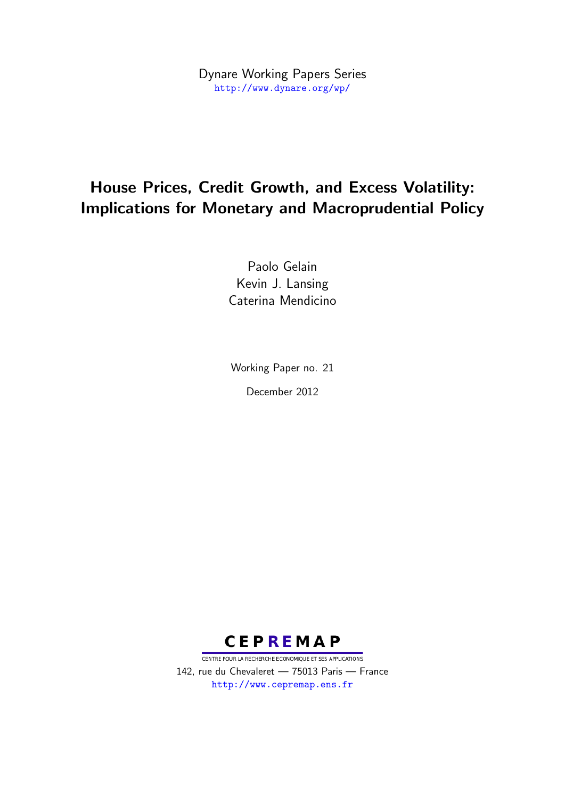Dynare Working Papers Series <http://www.dynare.org/wp/>

# House Prices, Credit Growth, and Excess Volatility: Implications for Monetary and Macroprudential Policy

Paolo Gelain Kevin J. Lansing Caterina Mendicino

Working Paper no. 21 December 2012



CENTRE POUR LA RECHERCHE ECONOMIQUE ET SES APPLICATIONS 142, rue du Chevaleret — 75013 Paris — France <http://www.cepremap.ens.fr>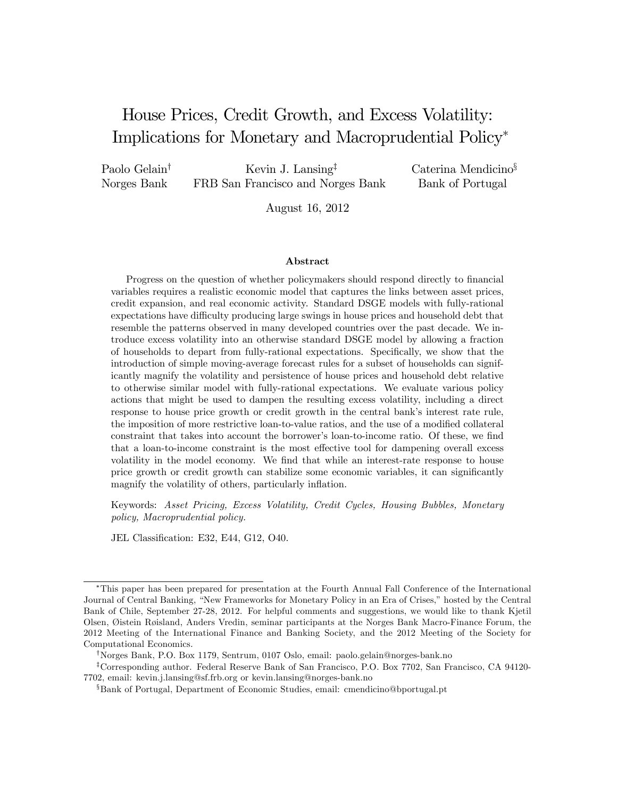## House Prices, Credit Growth, and Excess Volatility: Implications for Monetary and Macroprudential Policy<sup>∗</sup>

Paolo Gelain† Norges Bank

Kevin J. Lansing‡ FRB San Francisco and Norges Bank Caterina Mendicino§ Bank of Portugal

August 16, 2012

#### Abstract

Progress on the question of whether policymakers should respond directly to financial variables requires a realistic economic model that captures the links between asset prices, credit expansion, and real economic activity. Standard DSGE models with fully-rational expectations have difficulty producing large swings in house prices and household debt that resemble the patterns observed in many developed countries over the past decade. We introduce excess volatility into an otherwise standard DSGE model by allowing a fraction of households to depart from fully-rational expectations. Specifically, we show that the introduction of simple moving-average forecast rules for a subset of households can significantly magnify the volatility and persistence of house prices and household debt relative to otherwise similar model with fully-rational expectations. We evaluate various policy actions that might be used to dampen the resulting excess volatility, including a direct response to house price growth or credit growth in the central bank's interest rate rule, the imposition of more restrictive loan-to-value ratios, and the use of a modified collateral constraint that takes into account the borrower's loan-to-income ratio. Of these, we find that a loan-to-income constraint is the most effective tool for dampening overall excess volatility in the model economy. We find that while an interest-rate response to house price growth or credit growth can stabilize some economic variables, it can significantly magnify the volatility of others, particularly inflation.

Keywords: Asset Pricing, Excess Volatility, Credit Cycles, Housing Bubbles, Monetary policy, Macroprudential policy.

JEL Classification: E32, E44, G12, O40.

<sup>∗</sup>This paper has been prepared for presentation at the Fourth Annual Fall Conference of the International Journal of Central Banking, "New Frameworks for Monetary Policy in an Era of Crises," hosted by the Central Bank of Chile, September 27-28, 2012. For helpful comments and suggestions, we would like to thank Kjetil Olsen, Øistein Røisland, Anders Vredin, seminar participants at the Norges Bank Macro-Finance Forum, the 2012 Meeting of the International Finance and Banking Society, and the 2012 Meeting of the Society for Computational Economics.

<sup>†</sup>Norges Bank, P.O. Box 1179, Sentrum, 0107 Oslo, email: paolo.gelain@norges-bank.no

<sup>‡</sup>Corresponding author. Federal Reserve Bank of San Francisco, P.O. Box 7702, San Francisco, CA 94120- 7702, email: kevin.j.lansing@sf.frb.org or kevin.lansing@norges-bank.no

<sup>§</sup>Bank of Portugal, Department of Economic Studies, email: cmendicino@bportugal.pt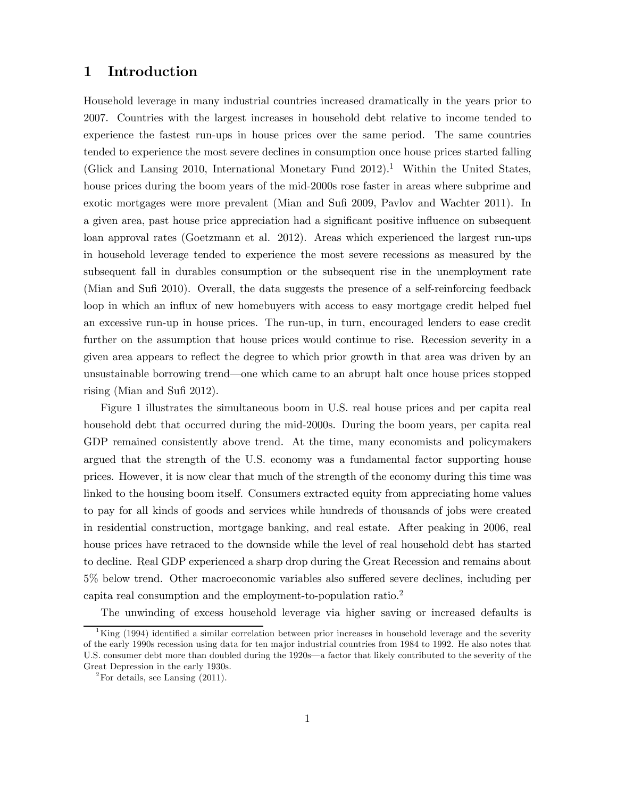## 1 Introduction

Household leverage in many industrial countries increased dramatically in the years prior to 2007. Countries with the largest increases in household debt relative to income tended to experience the fastest run-ups in house prices over the same period. The same countries tended to experience the most severe declines in consumption once house prices started falling (Glick and Lansing 2010, International Monetary Fund 2012).1 Within the United States, house prices during the boom years of the mid-2000s rose faster in areas where subprime and exotic mortgages were more prevalent (Mian and Sufi 2009, Pavlov and Wachter 2011). In a given area, past house price appreciation had a significant positive influence on subsequent loan approval rates (Goetzmann et al. 2012). Areas which experienced the largest run-ups in household leverage tended to experience the most severe recessions as measured by the subsequent fall in durables consumption or the subsequent rise in the unemployment rate (Mian and Sufi 2010). Overall, the data suggests the presence of a self-reinforcing feedback loop in which an influx of new homebuyers with access to easy mortgage credit helped fuel an excessive run-up in house prices. The run-up, in turn, encouraged lenders to ease credit further on the assumption that house prices would continue to rise. Recession severity in a given area appears to reflect the degree to which prior growth in that area was driven by an unsustainable borrowing trend–one which came to an abrupt halt once house prices stopped rising (Mian and Sufi 2012).

Figure 1 illustrates the simultaneous boom in U.S. real house prices and per capita real household debt that occurred during the mid-2000s. During the boom years, per capita real GDP remained consistently above trend. At the time, many economists and policymakers argued that the strength of the U.S. economy was a fundamental factor supporting house prices. However, it is now clear that much of the strength of the economy during this time was linked to the housing boom itself. Consumers extracted equity from appreciating home values to pay for all kinds of goods and services while hundreds of thousands of jobs were created in residential construction, mortgage banking, and real estate. After peaking in 2006, real house prices have retraced to the downside while the level of real household debt has started to decline. Real GDP experienced a sharp drop during the Great Recession and remains about 5% below trend. Other macroeconomic variables also suffered severe declines, including per capita real consumption and the employment-to-population ratio.2

The unwinding of excess household leverage via higher saving or increased defaults is

 ${}^{1}$ King (1994) identified a similar correlation between prior increases in household leverage and the severity of the early 1990s recession using data for ten major industrial countries from 1984 to 1992. He also notes that U.S. consumer debt more than doubled during the 1920s–a factor that likely contributed to the severity of the Great Depression in the early 1930s.

 $2^2$ For details, see Lansing (2011).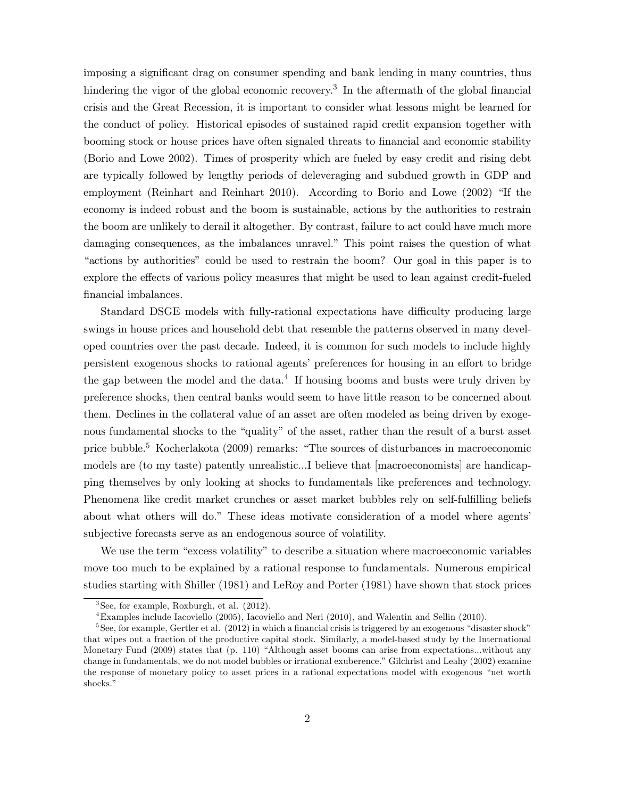imposing a significant drag on consumer spending and bank lending in many countries, thus hindering the vigor of the global economic recovery.<sup>3</sup> In the aftermath of the global financial crisis and the Great Recession, it is important to consider what lessons might be learned for the conduct of policy. Historical episodes of sustained rapid credit expansion together with booming stock or house prices have often signaled threats to financial and economic stability (Borio and Lowe 2002). Times of prosperity which are fueled by easy credit and rising debt are typically followed by lengthy periods of deleveraging and subdued growth in GDP and employment (Reinhart and Reinhart 2010). According to Borio and Lowe (2002) "If the economy is indeed robust and the boom is sustainable, actions by the authorities to restrain the boom are unlikely to derail it altogether. By contrast, failure to act could have much more damaging consequences, as the imbalances unravel." This point raises the question of what "actions by authorities" could be used to restrain the boom? Our goal in this paper is to explore the effects of various policy measures that might be used to lean against credit-fueled financial imbalances.

Standard DSGE models with fully-rational expectations have difficulty producing large swings in house prices and household debt that resemble the patterns observed in many developed countries over the past decade. Indeed, it is common for such models to include highly persistent exogenous shocks to rational agents' preferences for housing in an effort to bridge the gap between the model and the data.<sup>4</sup> If housing booms and busts were truly driven by preference shocks, then central banks would seem to have little reason to be concerned about them. Declines in the collateral value of an asset are often modeled as being driven by exogenous fundamental shocks to the "quality" of the asset, rather than the result of a burst asset price bubble.5 Kocherlakota (2009) remarks: "The sources of disturbances in macroeconomic models are (to my taste) patently unrealistic...I believe that [macroeconomists] are handicapping themselves by only looking at shocks to fundamentals like preferences and technology. Phenomena like credit market crunches or asset market bubbles rely on self-fulfilling beliefs about what others will do." These ideas motivate consideration of a model where agents' subjective forecasts serve as an endogenous source of volatility.

We use the term "excess volatility" to describe a situation where macroeconomic variables move too much to be explained by a rational response to fundamentals. Numerous empirical studies starting with Shiller (1981) and LeRoy and Porter (1981) have shown that stock prices

 $3$ See, for example, Roxburgh, et al.  $(2012)$ .

<sup>4</sup>Examples include Iacoviello (2005), Iacoviello and Neri (2010), and Walentin and Sellin (2010).

 $5$ See, for example, Gertler et al. (2012) in which a financial crisis is triggered by an exogenous "disaster shock" that wipes out a fraction of the productive capital stock. Similarly, a model-based study by the International Monetary Fund (2009) states that (p. 110) "Although asset booms can arise from expectations...without any change in fundamentals, we do not model bubbles or irrational exuberence." Gilchrist and Leahy (2002) examine the response of monetary policy to asset prices in a rational expectations model with exogenous "net worth shocks."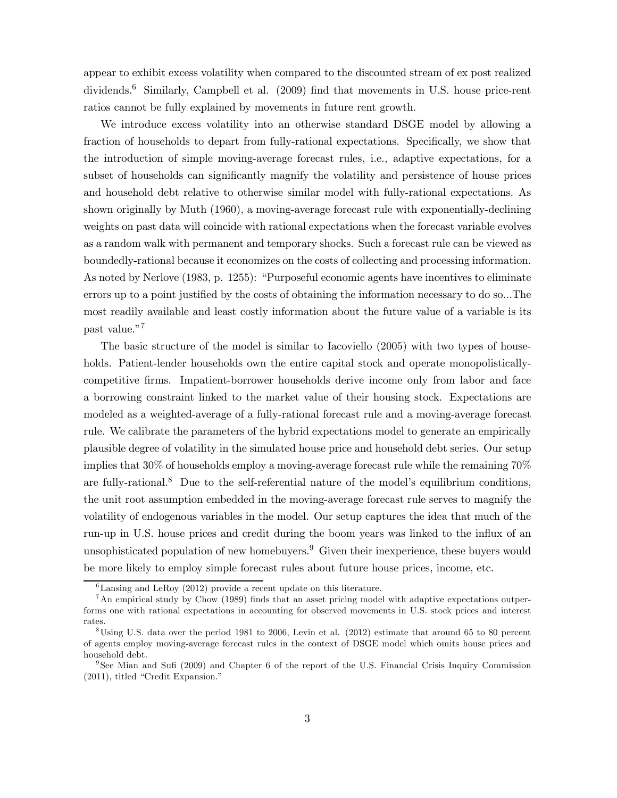appear to exhibit excess volatility when compared to the discounted stream of ex post realized dividends.<sup>6</sup> Similarly, Campbell et al. (2009) find that movements in U.S. house price-rent ratios cannot be fully explained by movements in future rent growth.

We introduce excess volatility into an otherwise standard DSGE model by allowing a fraction of households to depart from fully-rational expectations. Specifically, we show that the introduction of simple moving-average forecast rules, i.e., adaptive expectations, for a subset of households can significantly magnify the volatility and persistence of house prices and household debt relative to otherwise similar model with fully-rational expectations. As shown originally by Muth (1960), a moving-average forecast rule with exponentially-declining weights on past data will coincide with rational expectations when the forecast variable evolves as a random walk with permanent and temporary shocks. Such a forecast rule can be viewed as boundedly-rational because it economizes on the costs of collecting and processing information. As noted by Nerlove (1983, p. 1255): "Purposeful economic agents have incentives to eliminate errors up to a point justified by the costs of obtaining the information necessary to do so...The most readily available and least costly information about the future value of a variable is its past value."7

The basic structure of the model is similar to Iacoviello (2005) with two types of households. Patient-lender households own the entire capital stock and operate monopolisticallycompetitive firms. Impatient-borrower households derive income only from labor and face a borrowing constraint linked to the market value of their housing stock. Expectations are modeled as a weighted-average of a fully-rational forecast rule and a moving-average forecast rule. We calibrate the parameters of the hybrid expectations model to generate an empirically plausible degree of volatility in the simulated house price and household debt series. Our setup implies that 30% of households employ a moving-average forecast rule while the remaining 70% are fully-rational.<sup>8</sup> Due to the self-referential nature of the model's equilibrium conditions, the unit root assumption embedded in the moving-average forecast rule serves to magnify the volatility of endogenous variables in the model. Our setup captures the idea that much of the run-up in U.S. house prices and credit during the boom years was linked to the influx of an unsophisticated population of new homebuyers.<sup>9</sup> Given their inexperience, these buyers would be more likely to employ simple forecast rules about future house prices, income, etc.

 ${}^{6}$ Lansing and LeRoy (2012) provide a recent update on this literature.

 $^7$ An empirical study by Chow (1989) finds that an asset pricing model with adaptive expectations outperforms one with rational expectations in accounting for observed movements in U.S. stock prices and interest rates.

 $8\,\mathrm{Using}$  U.S. data over the period 1981 to 2006, Levin et al. (2012) estimate that around 65 to 80 percent of agents employ moving-average forecast rules in the context of DSGE model which omits house prices and household debt.

<sup>&</sup>lt;sup>9</sup>See Mian and Sufi (2009) and Chapter 6 of the report of the U.S. Financial Crisis Inquiry Commission (2011), titled "Credit Expansion."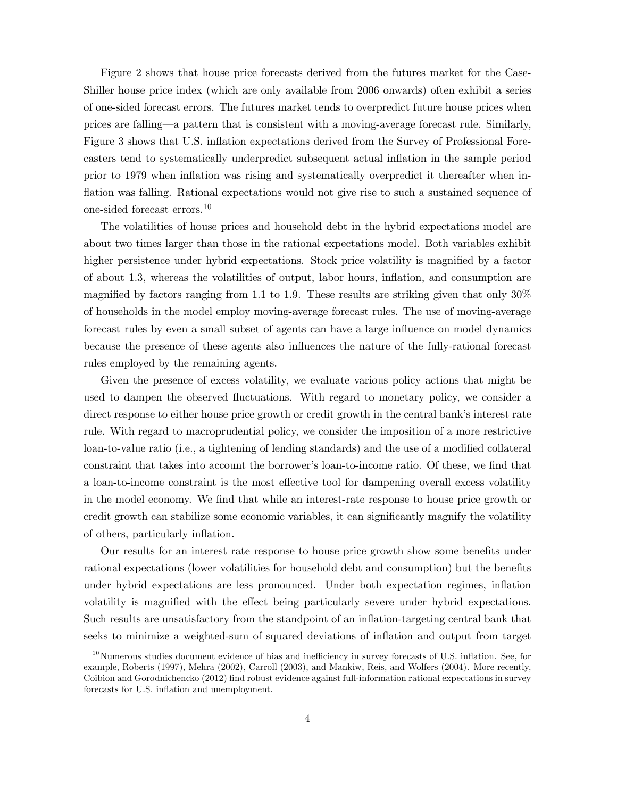Figure 2 shows that house price forecasts derived from the futures market for the Case-Shiller house price index (which are only available from 2006 onwards) often exhibit a series of one-sided forecast errors. The futures market tends to overpredict future house prices when prices are falling–a pattern that is consistent with a moving-average forecast rule. Similarly, Figure 3 shows that U.S. inflation expectations derived from the Survey of Professional Forecasters tend to systematically underpredict subsequent actual inflation in the sample period prior to 1979 when inflation was rising and systematically overpredict it thereafter when inflation was falling. Rational expectations would not give rise to such a sustained sequence of one-sided forecast errors.<sup>10</sup>

The volatilities of house prices and household debt in the hybrid expectations model are about two times larger than those in the rational expectations model. Both variables exhibit higher persistence under hybrid expectations. Stock price volatility is magnified by a factor of about 1.3, whereas the volatilities of output, labor hours, inflation, and consumption are magnified by factors ranging from 1.1 to 1.9. These results are striking given that only  $30\%$ of households in the model employ moving-average forecast rules. The use of moving-average forecast rules by even a small subset of agents can have a large influence on model dynamics because the presence of these agents also influences the nature of the fully-rational forecast rules employed by the remaining agents.

Given the presence of excess volatility, we evaluate various policy actions that might be used to dampen the observed fluctuations. With regard to monetary policy, we consider a direct response to either house price growth or credit growth in the central bank's interest rate rule. With regard to macroprudential policy, we consider the imposition of a more restrictive loan-to-value ratio (i.e., a tightening of lending standards) and the use of a modified collateral constraint that takes into account the borrower's loan-to-income ratio. Of these, we find that a loan-to-income constraint is the most effective tool for dampening overall excess volatility in the model economy. We find that while an interest-rate response to house price growth or credit growth can stabilize some economic variables, it can significantly magnify the volatility of others, particularly inflation.

Our results for an interest rate response to house price growth show some benefits under rational expectations (lower volatilities for household debt and consumption) but the benefits under hybrid expectations are less pronounced. Under both expectation regimes, inflation volatility is magnified with the effect being particularly severe under hybrid expectations. Such results are unsatisfactory from the standpoint of an inflation-targeting central bank that seeks to minimize a weighted-sum of squared deviations of inflation and output from target

 $10$ Numerous studies document evidence of bias and inefficiency in survey forecasts of U.S. inflation. See, for example, Roberts (1997), Mehra (2002), Carroll (2003), and Mankiw, Reis, and Wolfers (2004). More recently, Coibion and Gorodnichencko (2012) find robust evidence against full-information rational expectations in survey forecasts for U.S. inflation and unemployment.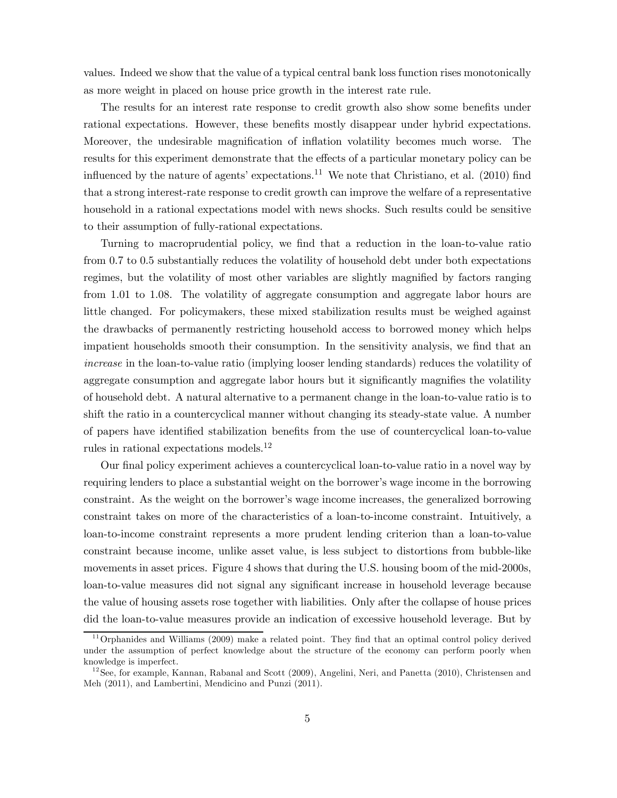values. Indeed we show that the value of a typical central bank loss function rises monotonically as more weight in placed on house price growth in the interest rate rule.

The results for an interest rate response to credit growth also show some benefits under rational expectations. However, these benefits mostly disappear under hybrid expectations. Moreover, the undesirable magnification of inflation volatility becomes much worse. The results for this experiment demonstrate that the effects of a particular monetary policy can be influenced by the nature of agents' expectations.<sup>11</sup> We note that Christiano, et al.  $(2010)$  find that a strong interest-rate response to credit growth can improve the welfare of a representative household in a rational expectations model with news shocks. Such results could be sensitive to their assumption of fully-rational expectations.

Turning to macroprudential policy, we find that a reduction in the loan-to-value ratio from 0.7 to 0.5 substantially reduces the volatility of household debt under both expectations regimes, but the volatility of most other variables are slightly magnified by factors ranging from 1.01 to 1.08. The volatility of aggregate consumption and aggregate labor hours are little changed. For policymakers, these mixed stabilization results must be weighed against the drawbacks of permanently restricting household access to borrowed money which helps impatient households smooth their consumption. In the sensitivity analysis, we find that an increase in the loan-to-value ratio (implying looser lending standards) reduces the volatility of aggregate consumption and aggregate labor hours but it significantly magnifies the volatility of household debt. A natural alternative to a permanent change in the loan-to-value ratio is to shift the ratio in a countercyclical manner without changing its steady-state value. A number of papers have identified stabilization benefits from the use of countercyclical loan-to-value rules in rational expectations models.<sup>12</sup>

Our final policy experiment achieves a countercyclical loan-to-value ratio in a novel way by requiring lenders to place a substantial weight on the borrower's wage income in the borrowing constraint. As the weight on the borrower's wage income increases, the generalized borrowing constraint takes on more of the characteristics of a loan-to-income constraint. Intuitively, a loan-to-income constraint represents a more prudent lending criterion than a loan-to-value constraint because income, unlike asset value, is less subject to distortions from bubble-like movements in asset prices. Figure 4 shows that during the U.S. housing boom of the mid-2000s, loan-to-value measures did not signal any significant increase in household leverage because the value of housing assets rose together with liabilities. Only after the collapse of house prices did the loan-to-value measures provide an indication of excessive household leverage. But by

 $11$ Orphanides and Williams (2009) make a related point. They find that an optimal control policy derived under the assumption of perfect knowledge about the structure of the economy can perform poorly when knowledge is imperfect.

 $12$ See, for example, Kannan, Rabanal and Scott (2009), Angelini, Neri, and Panetta (2010), Christensen and Meh (2011), and Lambertini, Mendicino and Punzi (2011).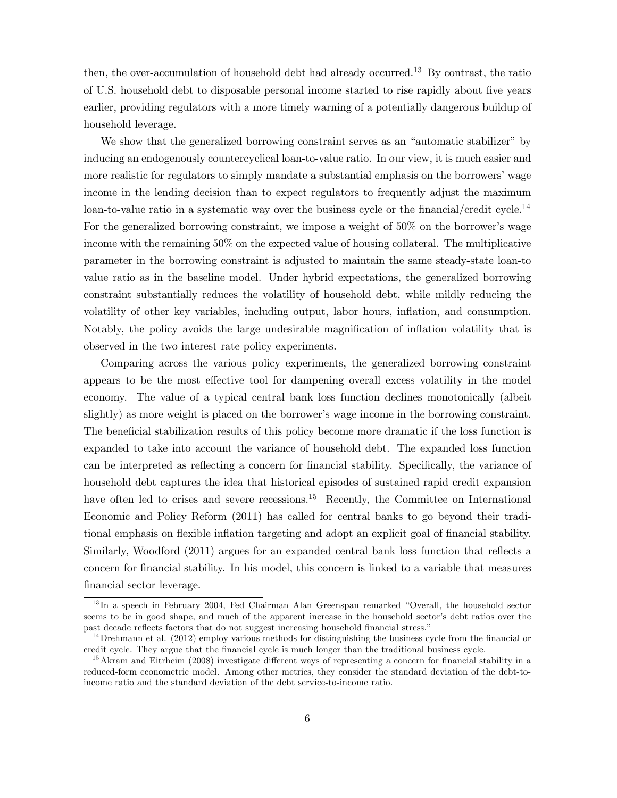then, the over-accumulation of household debt had already occurred.<sup>13</sup> By contrast, the ratio of U.S. household debt to disposable personal income started to rise rapidly about five years earlier, providing regulators with a more timely warning of a potentially dangerous buildup of household leverage.

We show that the generalized borrowing constraint serves as an "automatic stabilizer" by inducing an endogenously countercyclical loan-to-value ratio. In our view, it is much easier and more realistic for regulators to simply mandate a substantial emphasis on the borrowers' wage income in the lending decision than to expect regulators to frequently adjust the maximum loan-to-value ratio in a systematic way over the business cycle or the financial/credit cycle.<sup>14</sup> For the generalized borrowing constraint, we impose a weight of 50% on the borrower's wage income with the remaining 50% on the expected value of housing collateral. The multiplicative parameter in the borrowing constraint is adjusted to maintain the same steady-state loan-to value ratio as in the baseline model. Under hybrid expectations, the generalized borrowing constraint substantially reduces the volatility of household debt, while mildly reducing the volatility of other key variables, including output, labor hours, inflation, and consumption. Notably, the policy avoids the large undesirable magnification of inflation volatility that is observed in the two interest rate policy experiments.

Comparing across the various policy experiments, the generalized borrowing constraint appears to be the most effective tool for dampening overall excess volatility in the model economy. The value of a typical central bank loss function declines monotonically (albeit slightly) as more weight is placed on the borrower's wage income in the borrowing constraint. The beneficial stabilization results of this policy become more dramatic if the loss function is expanded to take into account the variance of household debt. The expanded loss function can be interpreted as reflecting a concern for financial stability. Specifically, the variance of household debt captures the idea that historical episodes of sustained rapid credit expansion have often led to crises and severe recessions.<sup>15</sup> Recently, the Committee on International Economic and Policy Reform (2011) has called for central banks to go beyond their traditional emphasis on flexible inflation targeting and adopt an explicit goal of financial stability. Similarly, Woodford (2011) argues for an expanded central bank loss function that reflects a concern for financial stability. In his model, this concern is linked to a variable that measures financial sector leverage.

<sup>&</sup>lt;sup>13</sup>In a speech in February 2004, Fed Chairman Alan Greenspan remarked "Overall, the household sector" seems to be in good shape, and much of the apparent increase in the household sector's debt ratios over the past decade reflects factors that do not suggest increasing household financial stress."

 $14$ Drehmann et al. (2012) employ various methods for distinguishing the business cycle from the financial or credit cycle. They argue that the financial cycle is much longer than the traditional business cycle.

<sup>&</sup>lt;sup>15</sup>Akram and Eitrheim (2008) investigate different ways of representing a concern for financial stability in a reduced-form econometric model. Among other metrics, they consider the standard deviation of the debt-toincome ratio and the standard deviation of the debt service-to-income ratio.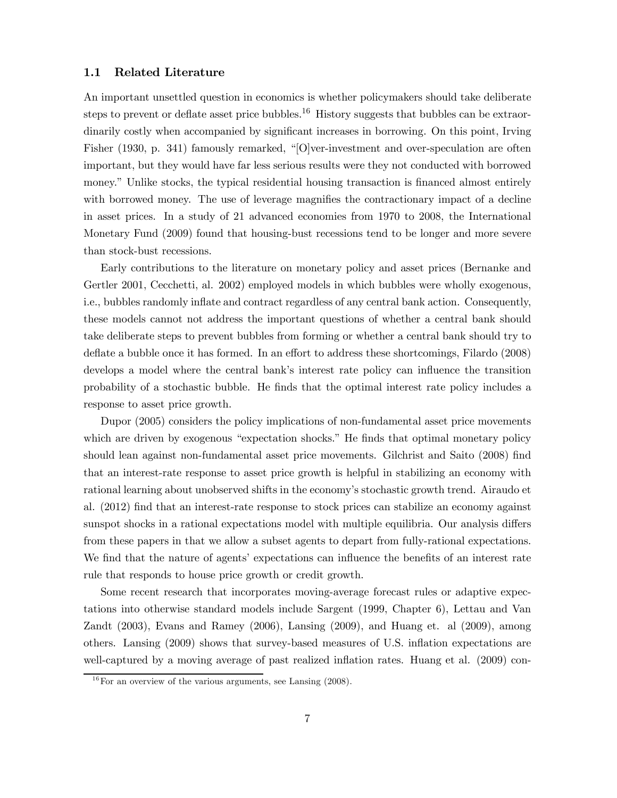#### 1.1 Related Literature

An important unsettled question in economics is whether policymakers should take deliberate steps to prevent or deflate asset price bubbles.<sup>16</sup> History suggests that bubbles can be extraordinarily costly when accompanied by significant increases in borrowing. On this point, Irving Fisher (1930, p. 341) famously remarked, "[O]ver-investment and over-speculation are often important, but they would have far less serious results were they not conducted with borrowed money." Unlike stocks, the typical residential housing transaction is financed almost entirely with borrowed money. The use of leverage magnifies the contractionary impact of a decline in asset prices. In a study of 21 advanced economies from 1970 to 2008, the International Monetary Fund (2009) found that housing-bust recessions tend to be longer and more severe than stock-bust recessions.

Early contributions to the literature on monetary policy and asset prices (Bernanke and Gertler 2001, Cecchetti, al. 2002) employed models in which bubbles were wholly exogenous, i.e., bubbles randomly inflate and contract regardless of any central bank action. Consequently, these models cannot not address the important questions of whether a central bank should take deliberate steps to prevent bubbles from forming or whether a central bank should try to deflate a bubble once it has formed. In an effort to address these shortcomings, Filardo (2008) develops a model where the central bank's interest rate policy can influence the transition probability of a stochastic bubble. He finds that the optimal interest rate policy includes a response to asset price growth.

Dupor (2005) considers the policy implications of non-fundamental asset price movements which are driven by exogenous "expectation shocks." He finds that optimal monetary policy should lean against non-fundamental asset price movements. Gilchrist and Saito (2008) find that an interest-rate response to asset price growth is helpful in stabilizing an economy with rational learning about unobserved shifts in the economy's stochastic growth trend. Airaudo et al. (2012) find that an interest-rate response to stock prices can stabilize an economy against sunspot shocks in a rational expectations model with multiple equilibria. Our analysis differs from these papers in that we allow a subset agents to depart from fully-rational expectations. We find that the nature of agents' expectations can influence the benefits of an interest rate rule that responds to house price growth or credit growth.

Some recent research that incorporates moving-average forecast rules or adaptive expectations into otherwise standard models include Sargent (1999, Chapter 6), Lettau and Van Zandt (2003), Evans and Ramey (2006), Lansing (2009), and Huang et. al (2009), among others. Lansing (2009) shows that survey-based measures of U.S. inflation expectations are well-captured by a moving average of past realized inflation rates. Huang et al. (2009) con-

 $16$  For an overview of the various arguments, see Lansing (2008).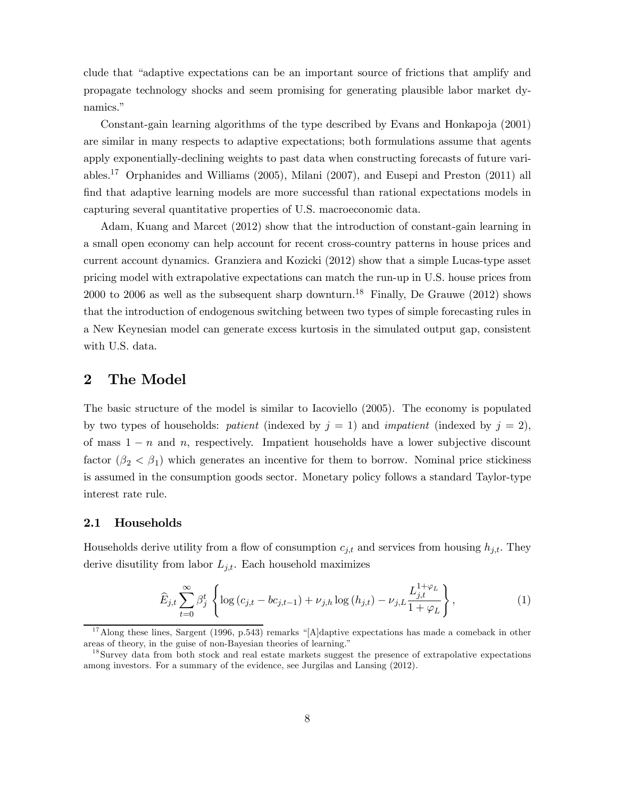clude that "adaptive expectations can be an important source of frictions that amplify and propagate technology shocks and seem promising for generating plausible labor market dynamics."

Constant-gain learning algorithms of the type described by Evans and Honkapoja (2001) are similar in many respects to adaptive expectations; both formulations assume that agents apply exponentially-declining weights to past data when constructing forecasts of future variables.17 Orphanides and Williams (2005), Milani (2007), and Eusepi and Preston (2011) all find that adaptive learning models are more successful than rational expectations models in capturing several quantitative properties of U.S. macroeconomic data.

Adam, Kuang and Marcet (2012) show that the introduction of constant-gain learning in a small open economy can help account for recent cross-country patterns in house prices and current account dynamics. Granziera and Kozicki (2012) show that a simple Lucas-type asset pricing model with extrapolative expectations can match the run-up in U.S. house prices from 2000 to 2006 as well as the subsequent sharp downturn.<sup>18</sup> Finally, De Grauwe (2012) shows that the introduction of endogenous switching between two types of simple forecasting rules in a New Keynesian model can generate excess kurtosis in the simulated output gap, consistent with U.S. data.

## 2 The Model

The basic structure of the model is similar to Iacoviello (2005). The economy is populated by two types of households: patient (indexed by  $j = 1$ ) and *impatient* (indexed by  $j = 2$ ), of mass  $1 - n$  and n, respectively. Impatient households have a lower subjective discount factor  $(\beta_2 < \beta_1)$  which generates an incentive for them to borrow. Nominal price stickiness is assumed in the consumption goods sector. Monetary policy follows a standard Taylor-type interest rate rule.

## 2.1 Households

Households derive utility from a flow of consumption  $c_{j,t}$  and services from housing  $h_{j,t}$ . They derive disutility from labor  $L_{j,t}$ . Each household maximizes

$$
\widehat{E}_{j,t} \sum_{t=0}^{\infty} \beta_j^t \left\{ \log \left( c_{j,t} - b c_{j,t-1} \right) + \nu_{j,h} \log \left( h_{j,t} \right) - \nu_{j,L} \frac{L_{j,t}^{1+\varphi_L}}{1+\varphi_L} \right\},\tag{1}
$$

<sup>&</sup>lt;sup>17</sup> Along these lines, Sargent (1996, p.543) remarks "[A]daptive expectations has made a comeback in other areas of theory, in the guise of non-Bayesian theories of learning."

<sup>&</sup>lt;sup>18</sup>Survey data from both stock and real estate markets suggest the presence of extrapolative expectations among investors. For a summary of the evidence, see Jurgilas and Lansing (2012).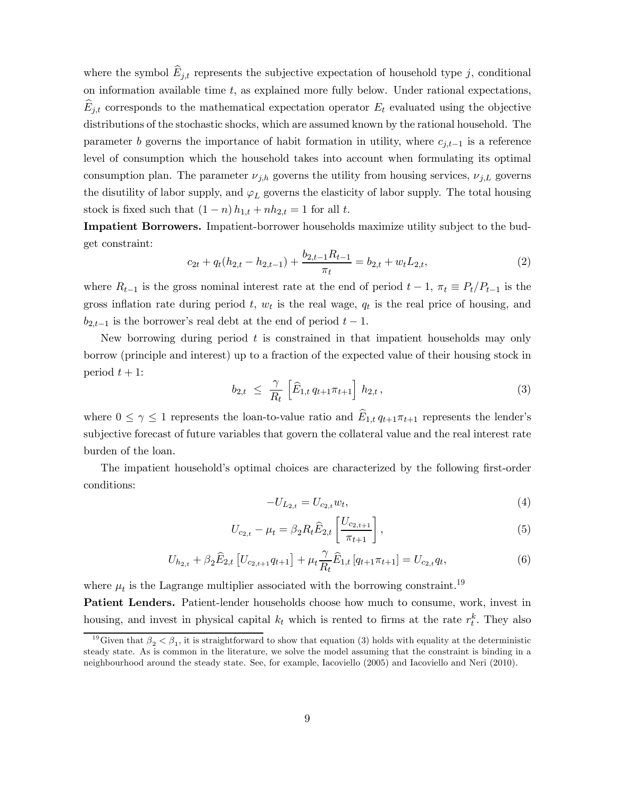where the symbol  $\widehat{E}_{j,t}$  represents the subjective expectation of household type j, conditional on information available time  $t$ , as explained more fully below. Under rational expectations,  $E_{j,t}$  corresponds to the mathematical expectation operator  $E_t$  evaluated using the objective distributions of the stochastic shocks, which are assumed known by the rational household. The parameter *b* governs the importance of habit formation in utility, where  $c_{i,t-1}$  is a reference level of consumption which the household takes into account when formulating its optimal consumption plan. The parameter  $\nu_{j,h}$  governs the utility from housing services,  $\nu_{j,L}$  governs the disutility of labor supply, and  $\varphi_L$  governs the elasticity of labor supply. The total housing stock is fixed such that  $(1 - n) h_{1,t} + nh_{2,t} = 1$  for all t.

Impatient Borrowers. Impatient-borrower households maximize utility subject to the budget constraint:

$$
c_{2t} + q_t(h_{2,t} - h_{2,t-1}) + \frac{b_{2,t-1}R_{t-1}}{\pi_t} = b_{2,t} + w_t L_{2,t},
$$
\n<sup>(2)</sup>

where  $R_{t-1}$  is the gross nominal interest rate at the end of period  $t-1$ ,  $\pi_t \equiv P_t/P_{t-1}$  is the gross inflation rate during period  $t, w_t$  is the real wage,  $q_t$  is the real price of housing, and  $b_{2,t-1}$  is the borrower's real debt at the end of period  $t-1$ .

New borrowing during period  $t$  is constrained in that impatient households may only borrow (principle and interest) up to a fraction of the expected value of their housing stock in period  $t + 1$ :

$$
b_{2,t} \leq \frac{\gamma}{R_t} \left[ \widehat{E}_{1,t} q_{t+1} \pi_{t+1} \right] h_{2,t}, \tag{3}
$$

where  $0 \leq \gamma \leq 1$  represents the loan-to-value ratio and  $\widehat{E}_{1,t} q_{t+1} \pi_{t+1}$  represents the lender's subjective forecast of future variables that govern the collateral value and the real interest rate burden of the loan.

The impatient household's optimal choices are characterized by the following first-order conditions:

$$
-U_{L_{2,t}} = U_{c_{2,t}} w_t,
$$
\n<sup>(4)</sup>

$$
U_{c_{2,t}} - \mu_t = \beta_2 R_t \widehat{E}_{2,t} \left[ \frac{U_{c_{2,t+1}}}{\pi_{t+1}} \right],
$$
\n(5)

$$
U_{h_{2,t}} + \beta_2 \widehat{E}_{2,t} \left[ U_{c_{2,t+1}} q_{t+1} \right] + \mu_t \frac{\gamma}{R_t} \widehat{E}_{1,t} \left[ q_{t+1} \pi_{t+1} \right] = U_{c_{2,t}} q_t,
$$
\n(6)

where  $\mu_t$  is the Lagrange multiplier associated with the borrowing constraint.<sup>19</sup>

Patient Lenders. Patient-lender households choose how much to consume, work, invest in housing, and invest in physical capital  $k_t$  which is rented to firms at the rate  $r_t^k$ . They also

<sup>&</sup>lt;sup>19</sup>Given that  $\beta_2 < \beta_1$ , it is straightforward to show that equation (3) holds with equality at the deterministic steady state. As is common in the literature, we solve the model assuming that the constraint is binding in a neighbourhood around the steady state. See, for example, Iacoviello (2005) and Iacoviello and Neri (2010).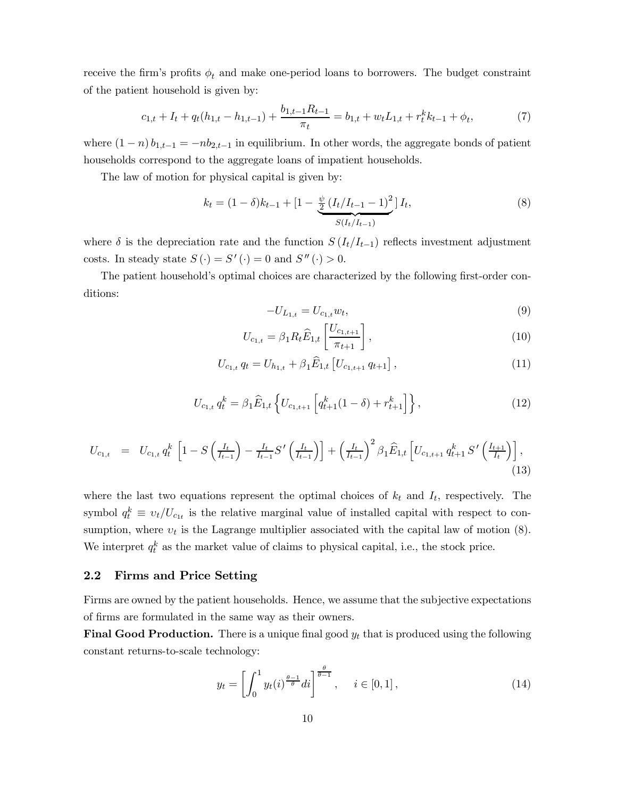receive the firm's profits  $\phi_t$  and make one-period loans to borrowers. The budget constraint of the patient household is given by:

$$
c_{1,t} + I_t + q_t(h_{1,t} - h_{1,t-1}) + \frac{b_{1,t-1}R_{t-1}}{\pi_t} = b_{1,t} + w_t L_{1,t} + r_t^k k_{t-1} + \phi_t,
$$
\n<sup>(7)</sup>

where  $(1 - n) b_{1,t-1} = -n b_{2,t-1}$  in equilibrium. In other words, the aggregate bonds of patient households correspond to the aggregate loans of impatient households.

The law of motion for physical capital is given by:

$$
k_t = (1 - \delta)k_{t-1} + \left[1 - \frac{\frac{\psi}{2}\left(I_t/I_{t-1} - 1\right)^2}{S(I_t/I_{t-1})}\right]I_t,
$$
\n
$$
(8)
$$

where  $\delta$  is the depreciation rate and the function  $S(I_t/I_{t-1})$  reflects investment adjustment costs. In steady state  $S(\cdot) = S'(\cdot) = 0$  and  $S''(\cdot) > 0$ .

The patient household's optimal choices are characterized by the following first-order conditions:

$$
-U_{L_{1,t}} = U_{c_{1,t}} w_t,
$$
\n(9)

$$
U_{c_{1,t}} = \beta_1 R_t \widehat{E}_{1,t} \left[ \frac{U_{c_{1,t+1}}}{\pi_{t+1}} \right],
$$
\n(10)

$$
U_{c_{1,t}} q_t = U_{h_{1,t}} + \beta_1 \widehat{E}_{1,t} \left[ U_{c_{1,t+1}} q_{t+1} \right], \tag{11}
$$

$$
U_{c_{1,t}} q_t^k = \beta_1 \widehat{E}_{1,t} \left\{ U_{c_{1,t+1}} \left[ q_{t+1}^k (1-\delta) + r_{t+1}^k \right] \right\},\tag{12}
$$

$$
U_{c_{1,t}} = U_{c_{1,t}} q_t^k \left[ 1 - S\left(\frac{I_t}{I_{t-1}}\right) - \frac{I_t}{I_{t-1}} S'\left(\frac{I_t}{I_{t-1}}\right) \right] + \left(\frac{I_t}{I_{t-1}}\right)^2 \beta_1 \widehat{E}_{1,t} \left[ U_{c_{1,t+1}} q_{t+1}^k S'\left(\frac{I_{t+1}}{I_t}\right) \right],
$$
\n(13)

where the last two equations represent the optimal choices of  $k_t$  and  $I_t$ , respectively. The symbol  $q_t^k \equiv v_t/U_{c_{1t}}$  is the relative marginal value of installed capital with respect to consumption, where  $v_t$  is the Lagrange multiplier associated with the capital law of motion  $(8)$ . We interpret  $q_t^k$  as the market value of claims to physical capital, i.e., the stock price.

## 2.2 Firms and Price Setting

Firms are owned by the patient households. Hence, we assume that the subjective expectations of firms are formulated in the same way as their owners.

**Final Good Production.** There is a unique final good  $y_t$  that is produced using the following constant returns-to-scale technology:

$$
y_t = \left[ \int_0^1 y_t(i)^{\frac{\theta - 1}{\theta}} di \right]^{\frac{\theta}{\theta - 1}}, \quad i \in [0, 1], \tag{14}
$$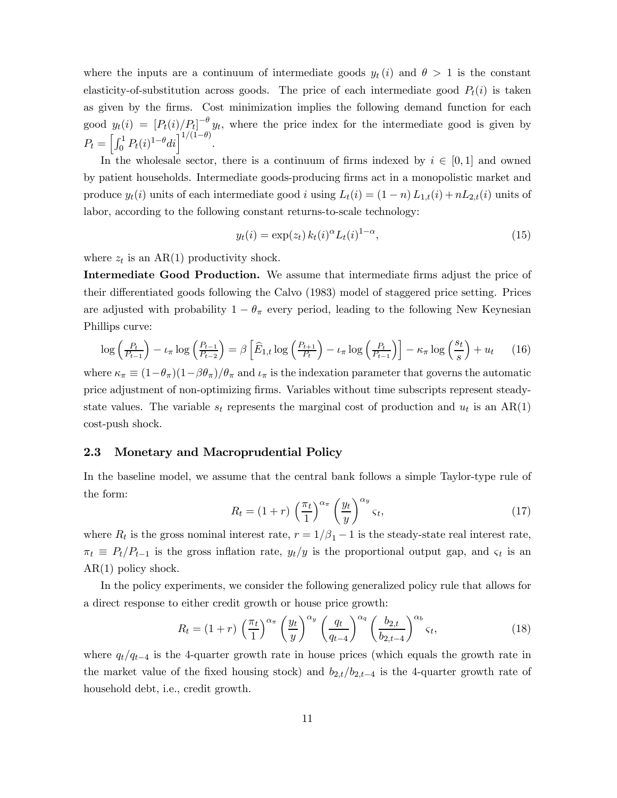where the inputs are a continuum of intermediate goods  $y_t(i)$  and  $\theta > 1$  is the constant elasticity-of-substitution across goods. The price of each intermediate good  $P_t(i)$  is taken as given by the firms. Cost minimization implies the following demand function for each good  $y_t(i)=[P_t(i)/P_t]^{-\theta}y_t$ , where the price index for the intermediate good is given by  $P_t = \left[ \int_0^1 P_t(i)^{1-\theta} di \right]^{1/(1-\theta)}$ .

In the wholesale sector, there is a continuum of firms indexed by  $i \in [0,1]$  and owned by patient households. Intermediate goods-producing firms act in a monopolistic market and produce  $y_t(i)$  units of each intermediate good *i* using  $L_t(i) = (1 - n)L_{1,t}(i) + nL_{2,t}(i)$  units of labor, according to the following constant returns-to-scale technology:

$$
y_t(i) = \exp(z_t) k_t(i)^{\alpha} L_t(i)^{1-\alpha},
$$
\n(15)

where  $z_t$  is an AR(1) productivity shock.

Intermediate Good Production. We assume that intermediate firms adjust the price of their differentiated goods following the Calvo (1983) model of staggered price setting. Prices are adjusted with probability  $1 - \theta_{\pi}$  every period, leading to the following New Keynesian Phillips curve:

$$
\log\left(\frac{P_t}{P_{t-1}}\right) - \iota_\pi \log\left(\frac{P_{t-1}}{P_{t-2}}\right) = \beta \left[\widehat{E}_{1,t} \log\left(\frac{P_{t+1}}{P_t}\right) - \iota_\pi \log\left(\frac{P_t}{P_{t-1}}\right)\right] - \kappa_\pi \log\left(\frac{s_t}{s}\right) + u_t \tag{16}
$$

where  $\kappa_{\pi} \equiv (1-\theta_{\pi})(1-\beta\theta_{\pi})/\theta_{\pi}$  and  $\iota_{\pi}$  is the indexation parameter that governs the automatic price adjustment of non-optimizing firms. Variables without time subscripts represent steadystate values. The variable  $s_t$  represents the marginal cost of production and  $u_t$  is an AR(1) cost-push shock.

### 2.3 Monetary and Macroprudential Policy

In the baseline model, we assume that the central bank follows a simple Taylor-type rule of the form:

$$
R_t = (1+r) \left(\frac{\pi_t}{1}\right)^{\alpha_\pi} \left(\frac{y_t}{y}\right)^{\alpha_y} \varsigma_t,
$$
\n(17)

where  $R_t$  is the gross nominal interest rate,  $r = 1/\beta_1 - 1$  is the steady-state real interest rate,  $\pi_t \equiv P_t/P_{t-1}$  is the gross inflation rate,  $y_t/y$  is the proportional output gap, and  $\varsigma_t$  is an AR(1) policy shock.

In the policy experiments, we consider the following generalized policy rule that allows for a direct response to either credit growth or house price growth:

$$
R_t = (1+r) \left(\frac{\pi_t}{1}\right)^{\alpha_{\pi}} \left(\frac{y_t}{y}\right)^{\alpha_y} \left(\frac{q_t}{q_{t-4}}\right)^{\alpha_q} \left(\frac{b_{2,t}}{b_{2,t-4}}\right)^{\alpha_b} \varsigma_t,
$$
\n(18)

where  $q_t/q_{t-4}$  is the 4-quarter growth rate in house prices (which equals the growth rate in the market value of the fixed housing stock) and  $b_{2,t}/b_{2,t-4}$  is the 4-quarter growth rate of household debt, i.e., credit growth.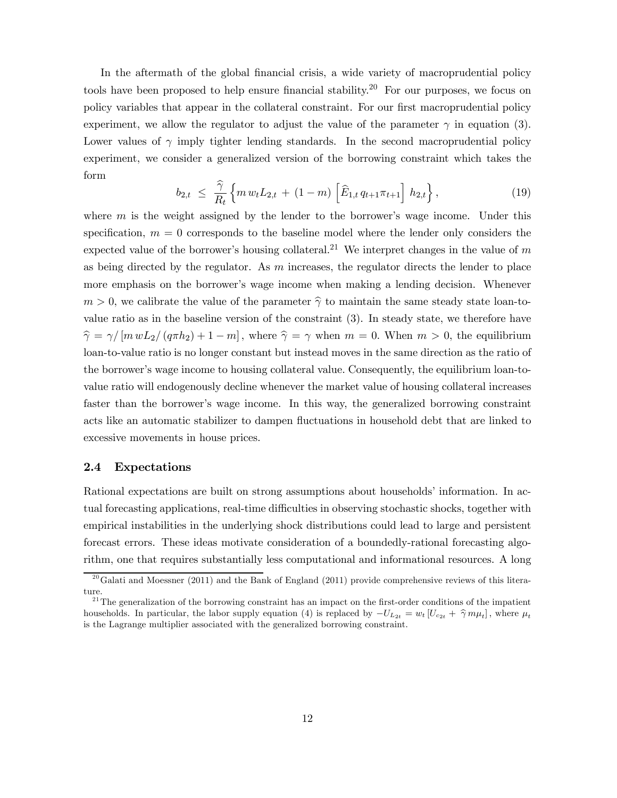In the aftermath of the global financial crisis, a wide variety of macroprudential policy tools have been proposed to help ensure financial stability.<sup>20</sup> For our purposes, we focus on policy variables that appear in the collateral constraint. For our first macroprudential policy experiment, we allow the regulator to adjust the value of the parameter  $\gamma$  in equation (3). Lower values of  $\gamma$  imply tighter lending standards. In the second macroprudential policy experiment, we consider a generalized version of the borrowing constraint which takes the form

$$
b_{2,t} \leq \frac{\widehat{\gamma}}{R_t} \left\{ m \, w_t L_{2,t} + (1-m) \left[ \widehat{E}_{1,t} \, q_{t+1} \pi_{t+1} \right] \, h_{2,t} \right\},\tag{19}
$$

where  $m$  is the weight assigned by the lender to the borrower's wage income. Under this specification,  $m = 0$  corresponds to the baseline model where the lender only considers the expected value of the borrower's housing collateral.<sup>21</sup> We interpret changes in the value of m as being directed by the regulator. As  $m$  increases, the regulator directs the lender to place more emphasis on the borrower's wage income when making a lending decision. Whenever  $m > 0$ , we calibrate the value of the parameter  $\hat{\gamma}$  to maintain the same steady state loan-tovalue ratio as in the baseline version of the constraint (3). In steady state, we therefore have  $\hat{\gamma} = \gamma / [m w L_2 / (q \pi h_2) + 1 - m]$ , where  $\hat{\gamma} = \gamma$  when  $m = 0$ . When  $m > 0$ , the equilibrium loan-to-value ratio is no longer constant but instead moves in the same direction as the ratio of the borrower's wage income to housing collateral value Consequently, the equilibrium loan-tovalue ratio will endogenously decline whenever the market value of housing collateral increases faster than the borrower's wage income. In this way, the generalized borrowing constraint acts like an automatic stabilizer to dampen fluctuations in household debt that are linked to excessive movements in house prices.

### 2.4 Expectations

Rational expectations are built on strong assumptions about households' information. In actual forecasting applications, real-time difficulties in observing stochastic shocks, together with empirical instabilities in the underlying shock distributions could lead to large and persistent forecast errors. These ideas motivate consideration of a boundedly-rational forecasting algorithm, one that requires substantially less computational and informational resources. A long

 $^{20}$ Galati and Moessner (2011) and the Bank of England (2011) provide comprehensive reviews of this literature.

 $2<sup>1</sup>$ The generalization of the borrowing constraint has an impact on the first-order conditions of the impatient households. In particular, the labor supply equation (4) is replaced by  $-U_{L_{2t}} = w_t [U_{c_{2t}} + \hat{\gamma} m \mu_t]$ , where  $\mu_t$ is the Lagrange multiplier associated with the generalized borrowing constraint.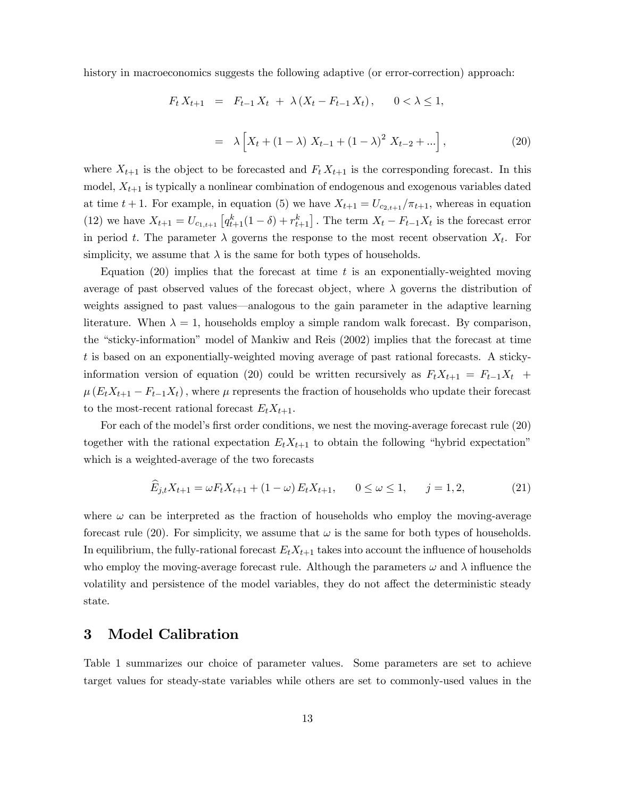history in macroeconomics suggests the following adaptive (or error-correction) approach:

$$
F_t X_{t+1} = F_{t-1} X_t + \lambda (X_t - F_{t-1} X_t), \quad 0 < \lambda \le 1,
$$
  

$$
= \lambda \left[ X_t + (1 - \lambda) X_{t-1} + (1 - \lambda)^2 X_{t-2} + \ldots \right],
$$
 (20)

where  $X_{t+1}$  is the object to be forecasted and  $F_t X_{t+1}$  is the corresponding forecast. In this model,  $X_{t+1}$  is typically a nonlinear combination of endogenous and exogenous variables dated at time  $t + 1$ . For example, in equation (5) we have  $X_{t+1} = U_{c_{2,t+1}} / \pi_{t+1}$ , whereas in equation (12) we have  $X_{t+1} = U_{c_{1,t+1}} \left[ q_{t+1}^k (1 - \delta) + r_{t+1}^k \right]$ . The term  $X_t - F_{t-1} X_t$  is the forecast error in period t. The parameter  $\lambda$  governs the response to the most recent observation  $X_t$ . For simplicity, we assume that  $\lambda$  is the same for both types of households.

Equation (20) implies that the forecast at time  $t$  is an exponentially-weighted moving average of past observed values of the forecast object, where  $\lambda$  governs the distribution of weights assigned to past values–analogous to the gain parameter in the adaptive learning literature. When  $\lambda = 1$ , households employ a simple random walk forecast. By comparison, the "sticky-information" model of Mankiw and Reis (2002) implies that the forecast at time  $t$  is based on an exponentially-weighted moving average of past rational forecasts. A stickyinformation version of equation (20) could be written recursively as  $F_t X_{t+1} = F_{t-1} X_t +$  $\mu(E_t X_{t+1} - F_{t-1} X_t)$ , where  $\mu$  represents the fraction of households who update their forecast to the most-recent rational forecast  $E_t X_{t+1}$ .

For each of the model's first order conditions, we nest the moving-average forecast rule (20) together with the rational expectation  $E_t X_{t+1}$  to obtain the following "hybrid expectation" which is a weighted-average of the two forecasts

$$
\widehat{E}_{j,t}X_{t+1} = \omega F_t X_{t+1} + (1 - \omega) E_t X_{t+1}, \qquad 0 \le \omega \le 1, \qquad j = 1, 2,
$$
\n(21)

where  $\omega$  can be interpreted as the fraction of households who employ the moving-average forecast rule (20). For simplicity, we assume that  $\omega$  is the same for both types of households. In equilibrium, the fully-rational forecast  $E_t X_{t+1}$  takes into account the influence of households who employ the moving-average forecast rule. Although the parameters  $\omega$  and  $\lambda$  influence the volatility and persistence of the model variables, they do not affect the deterministic steady state.

## 3 Model Calibration

Table 1 summarizes our choice of parameter values. Some parameters are set to achieve target values for steady-state variables while others are set to commonly-used values in the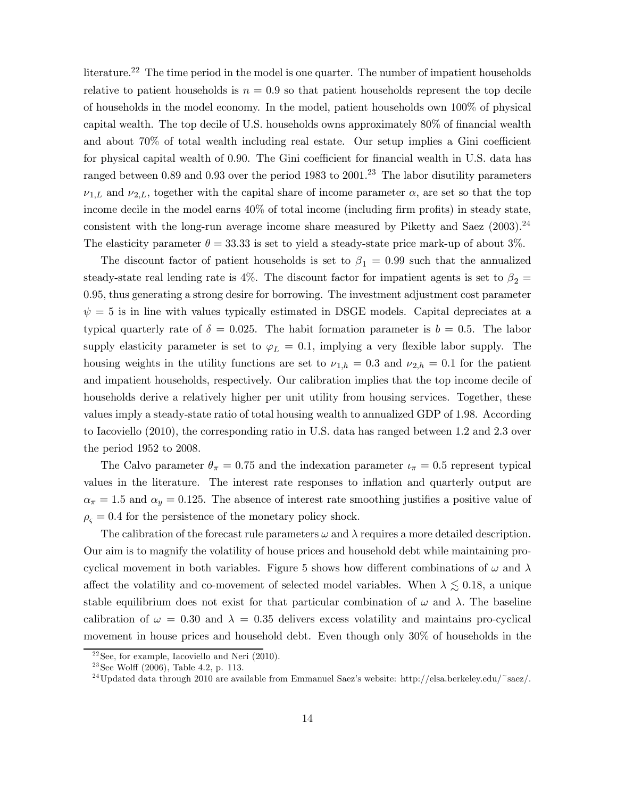literature.22 The time period in the model is one quarter. The number of impatient households relative to patient households is  $n = 0.9$  so that patient households represent the top decile of households in the model economy. In the model, patient households own 100% of physical capital wealth. The top decile of U.S. households owns approximately 80% of financial wealth and about 70% of total wealth including real estate. Our setup implies a Gini coefficient for physical capital wealth of 0.90. The Gini coefficient for financial wealth in U.S. data has ranged between 0.89 and 0.93 over the period 1983 to 2001.<sup>23</sup> The labor disutility parameters  $\nu_{1,L}$  and  $\nu_{2,L}$ , together with the capital share of income parameter  $\alpha$ , are set so that the top income decile in the model earns 40% of total income (including firm profits) in steady state, consistent with the long-run average income share measured by Piketty and Saez  $(2003).^{24}$ The elasticity parameter  $\theta = 33.33$  is set to yield a steady-state price mark-up of about 3%.

The discount factor of patient households is set to  $\beta_1 = 0.99$  such that the annualized steady-state real lending rate is 4%. The discount factor for impatient agents is set to  $\beta_2 =$ 0.95, thus generating a strong desire for borrowing. The investment adjustment cost parameter  $\psi = 5$  is in line with values typically estimated in DSGE models. Capital depreciates at a typical quarterly rate of  $\delta = 0.025$ . The habit formation parameter is  $b = 0.5$ . The labor supply elasticity parameter is set to  $\varphi_L = 0.1$ , implying a very flexible labor supply. The housing weights in the utility functions are set to  $\nu_{1,h} = 0.3$  and  $\nu_{2,h} = 0.1$  for the patient and impatient households, respectively. Our calibration implies that the top income decile of households derive a relatively higher per unit utility from housing services. Together, these values imply a steady-state ratio of total housing wealth to annualized GDP of 1.98. According to Iacoviello (2010), the corresponding ratio in U.S. data has ranged between 1.2 and 2.3 over the period 1952 to 2008.

The Calvo parameter  $\theta_{\pi} = 0.75$  and the indexation parameter  $\iota_{\pi} = 0.5$  represent typical values in the literature. The interest rate responses to inflation and quarterly output are  $\alpha_{\pi} = 1.5$  and  $\alpha_{y} = 0.125$ . The absence of interest rate smoothing justifies a positive value of  $\rho_{\rm s}=0.4$  for the persistence of the monetary policy shock.

The calibration of the forecast rule parameters  $\omega$  and  $\lambda$  requires a more detailed description. Our aim is to magnify the volatility of house prices and household debt while maintaining procyclical movement in both variables. Figure 5 shows how different combinations of  $\omega$  and  $\lambda$ affect the volatility and co-movement of selected model variables. When  $\lambda \lesssim 0.18$ , a unique stable equilibrium does not exist for that particular combination of  $\omega$  and  $\lambda$ . The baseline calibration of  $\omega = 0.30$  and  $\lambda = 0.35$  delivers excess volatility and maintains pro-cyclical movement in house prices and household debt. Even though only 30% of households in the

 $22$ See, for example, Iacoviello and Neri (2010).

 $23$ See Wolff (2006), Table 4.2, p. 113.

<sup>&</sup>lt;sup>24</sup>Updated data through 2010 are available from Emmanuel Saez's website: http://elsa.berkeley.edu/~saez/.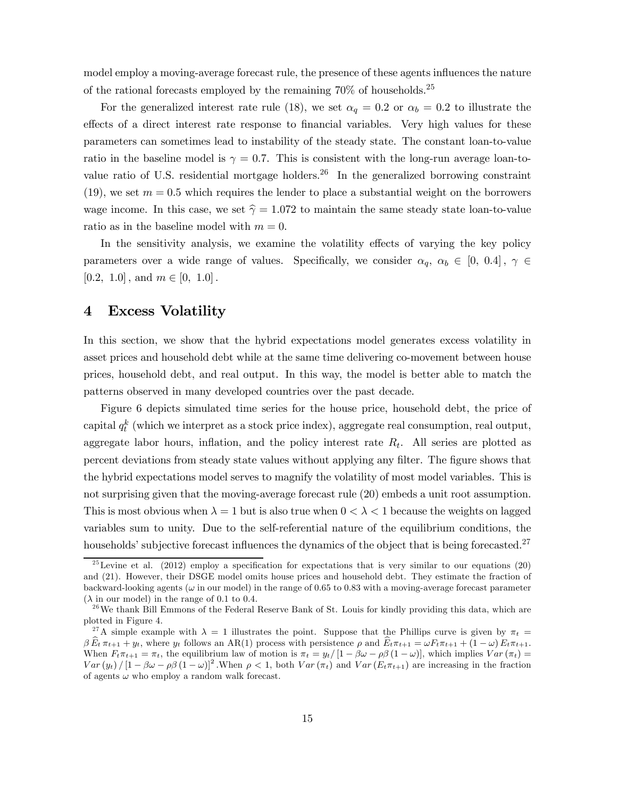model employ a moving-average forecast rule, the presence of these agents influences the nature of the rational forecasts employed by the remaining  $70\%$  of households.<sup>25</sup>

For the generalized interest rate rule (18), we set  $\alpha_q = 0.2$  or  $\alpha_b = 0.2$  to illustrate the effects of a direct interest rate response to financial variables. Very high values for these parameters can sometimes lead to instability of the steady state. The constant loan-to-value ratio in the baseline model is  $\gamma = 0.7$ . This is consistent with the long-run average loan-tovalue ratio of U.S. residential mortgage holders.<sup>26</sup> In the generalized borrowing constraint (19), we set  $m = 0.5$  which requires the lender to place a substantial weight on the borrowers wage income. In this case, we set  $\hat{\gamma} = 1.072$  to maintain the same steady state loan-to-value ratio as in the baseline model with  $m = 0$ .

In the sensitivity analysis, we examine the volatility effects of varying the key policy parameters over a wide range of values. Specifically, we consider  $\alpha_q$ ,  $\alpha_b \in [0, 0.4]$ ,  $\gamma \in$ [0.2, 1.0], and  $m \in [0, 1.0]$ .

## 4 Excess Volatility

In this section, we show that the hybrid expectations model generates excess volatility in asset prices and household debt while at the same time delivering co-movement between house prices, household debt, and real output. In this way, the model is better able to match the patterns observed in many developed countries over the past decade.

Figure 6 depicts simulated time series for the house price, household debt, the price of capital  $q_t^k$  (which we interpret as a stock price index), aggregate real consumption, real output, aggregate labor hours, inflation, and the policy interest rate  $R_t$ . All series are plotted as percent deviations from steady state values without applying any filter. The figure shows that the hybrid expectations model serves to magnify the volatility of most model variables. This is not surprising given that the moving-average forecast rule (20) embeds a unit root assumption. This is most obvious when  $\lambda = 1$  but is also true when  $0 < \lambda < 1$  because the weights on lagged variables sum to unity. Due to the self-referential nature of the equilibrium conditions, the households' subjective forecast influences the dynamics of the object that is being forecasted.<sup>27</sup>

<sup>&</sup>lt;sup>25</sup>Levine et al. (2012) employ a specification for expectations that is very similar to our equations (20) and (21). However, their DSGE model omits house prices and household debt. They estimate the fraction of backward-looking agents ( $\omega$  in our model) in the range of 0.65 to 0.83 with a moving-average forecast parameter  $(\lambda \text{ in our model})$  in the range of 0.1 to 0.4.

 $^{26}$ We thank Bill Emmons of the Federal Reserve Bank of St. Louis for kindly providing this data, which are plotted in Figure 4.

<sup>&</sup>lt;sup>27</sup>A simple example with  $\lambda = 1$  illustrates the point. Suppose that the Phillips curve is given by  $\pi_t =$  $\beta \, \widehat{E}_t \, \pi_{t+1} + y_t$ , where  $y_t$  follows an AR(1) process with persistence  $\rho$  and  $\widehat{E}_t \pi_{t+1} = \omega F_t \pi_{t+1} + (1 - \omega) E_t \pi_{t+1}$ . When  $F_t \pi_{t+1} = \pi_t$ , the equilibrium law of motion is  $\pi_t = y_t / [1 - \beta \omega - \rho \beta (1 - \omega)]$ , which implies  $Var(\pi_t) =$  $Var(y_t)/[1-\beta\omega-\rho\beta(1-\omega)]^2$ . When  $\rho < 1$ , both  $Var(\pi_t)$  and  $Var(E_t/\pi_{t+1})$  are increasing in the fraction of agents  $\omega$  who employ a random walk forecast.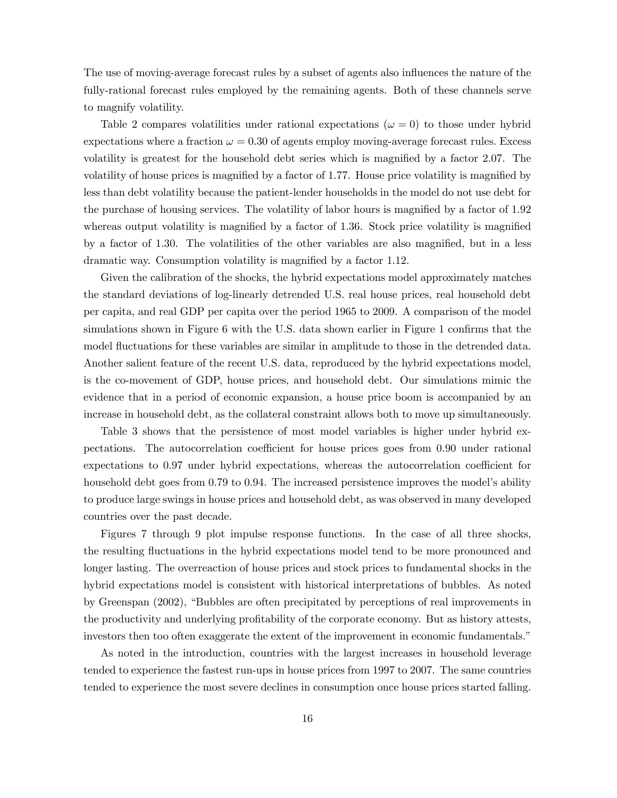The use of moving-average forecast rules by a subset of agents also influences the nature of the fully-rational forecast rules employed by the remaining agents. Both of these channels serve to magnify volatility.

Table 2 compares volatilities under rational expectations ( $\omega = 0$ ) to those under hybrid expectations where a fraction  $\omega = 0.30$  of agents employ moving-average forecast rules. Excess volatility is greatest for the household debt series which is magnified by a factor 2.07. The volatility of house prices is magnified by a factor of 1.77. House price volatility is magnified by less than debt volatility because the patient-lender households in the model do not use debt for the purchase of housing services. The volatility of labor hours is magnified by a factor of 1.92 whereas output volatility is magnified by a factor of 1.36. Stock price volatility is magnified by a factor of 1.30. The volatilities of the other variables are also magnified, but in a less dramatic way. Consumption volatility is magnified by a factor 1.12.

Given the calibration of the shocks, the hybrid expectations model approximately matches the standard deviations of log-linearly detrended U.S. real house prices, real household debt per capita, and real GDP per capita over the period 1965 to 2009. A comparison of the model simulations shown in Figure 6 with the U.S. data shown earlier in Figure 1 confirms that the model fluctuations for these variables are similar in amplitude to those in the detrended data. Another salient feature of the recent U.S. data, reproduced by the hybrid expectations model, is the co-movement of GDP, house prices, and household debt. Our simulations mimic the evidence that in a period of economic expansion, a house price boom is accompanied by an increase in household debt, as the collateral constraint allows both to move up simultaneously.

Table 3 shows that the persistence of most model variables is higher under hybrid expectations. The autocorrelation coefficient for house prices goes from 0.90 under rational expectations to 0.97 under hybrid expectations, whereas the autocorrelation coefficient for household debt goes from 0.79 to 0.94. The increased persistence improves the model's ability to produce large swings in house prices and household debt, as was observed in many developed countries over the past decade.

Figures 7 through 9 plot impulse response functions. In the case of all three shocks, the resulting fluctuations in the hybrid expectations model tend to be more pronounced and longer lasting. The overreaction of house prices and stock prices to fundamental shocks in the hybrid expectations model is consistent with historical interpretations of bubbles. As noted by Greenspan (2002), "Bubbles are often precipitated by perceptions of real improvements in the productivity and underlying profitability of the corporate economy. But as history attests, investors then too often exaggerate the extent of the improvement in economic fundamentals."

As noted in the introduction, countries with the largest increases in household leverage tended to experience the fastest run-ups in house prices from 1997 to 2007. The same countries tended to experience the most severe declines in consumption once house prices started falling.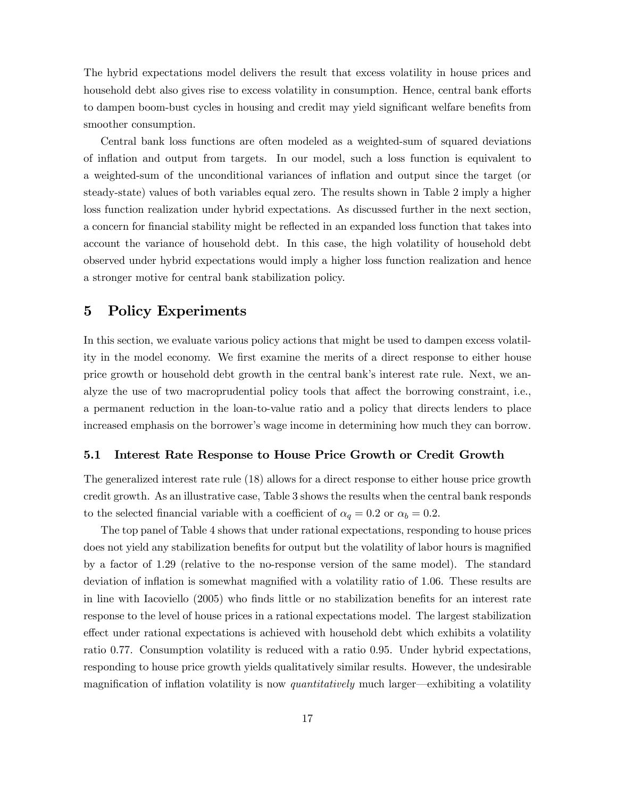The hybrid expectations model delivers the result that excess volatility in house prices and household debt also gives rise to excess volatility in consumption. Hence, central bank efforts to dampen boom-bust cycles in housing and credit may yield significant welfare benefits from smoother consumption.

Central bank loss functions are often modeled as a weighted-sum of squared deviations of inflation and output from targets. In our model, such a loss function is equivalent to a weighted-sum of the unconditional variances of inflation and output since the target (or steady-state) values of both variables equal zero. The results shown in Table 2 imply a higher loss function realization under hybrid expectations. As discussed further in the next section, a concern for financial stability might be reflected in an expanded loss function that takes into account the variance of household debt. In this case, the high volatility of household debt observed under hybrid expectations would imply a higher loss function realization and hence a stronger motive for central bank stabilization policy.

## 5 Policy Experiments

In this section, we evaluate various policy actions that might be used to dampen excess volatility in the model economy. We first examine the merits of a direct response to either house price growth or household debt growth in the central bank's interest rate rule. Next, we analyze the use of two macroprudential policy tools that affect the borrowing constraint, i.e., a permanent reduction in the loan-to-value ratio and a policy that directs lenders to place increased emphasis on the borrower's wage income in determining how much they can borrow.

#### 5.1 Interest Rate Response to House Price Growth or Credit Growth

The generalized interest rate rule (18) allows for a direct response to either house price growth credit growth. As an illustrative case, Table 3 shows the results when the central bank responds to the selected financial variable with a coefficient of  $\alpha_q = 0.2$  or  $\alpha_b = 0.2$ .

The top panel of Table 4 shows that under rational expectations, responding to house prices does not yield any stabilization benefits for output but the volatility of labor hours is magnified by a factor of 1.29 (relative to the no-response version of the same model). The standard deviation of inflation is somewhat magnified with a volatility ratio of 1.06. These results are in line with Iacoviello (2005) who finds little or no stabilization benefits for an interest rate response to the level of house prices in a rational expectations model. The largest stabilization effect under rational expectations is achieved with household debt which exhibits a volatility ratio 0.77. Consumption volatility is reduced with a ratio 0.95. Under hybrid expectations, responding to house price growth yields qualitatively similar results. However, the undesirable magnification of inflation volatility is now *quantitatively* much larger—exhibiting a volatility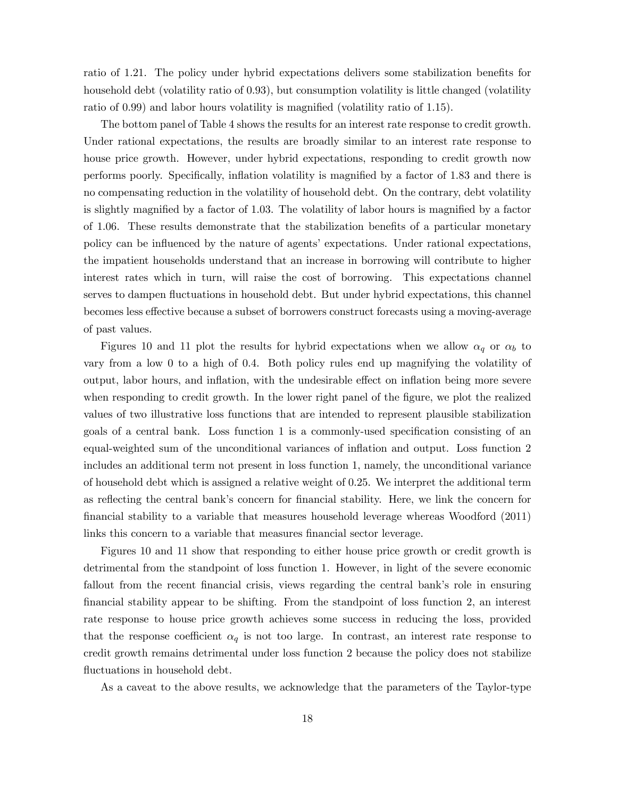ratio of 1.21. The policy under hybrid expectations delivers some stabilization benefits for household debt (volatility ratio of 0.93), but consumption volatility is little changed (volatility ratio of 0.99) and labor hours volatility is magnified (volatility ratio of 1.15).

The bottom panel of Table 4 shows the results for an interest rate response to credit growth. Under rational expectations, the results are broadly similar to an interest rate response to house price growth. However, under hybrid expectations, responding to credit growth now performs poorly. Specifically, inflation volatility is magnified by a factor of 1.83 and there is no compensating reduction in the volatility of household debt. On the contrary, debt volatility is slightly magnified by a factor of 1.03. The volatility of labor hours is magnified by a factor of 1.06. These results demonstrate that the stabilization benefits of a particular monetary policy can be influenced by the nature of agents' expectations. Under rational expectations, the impatient households understand that an increase in borrowing will contribute to higher interest rates which in turn, will raise the cost of borrowing. This expectations channel serves to dampen fluctuations in household debt. But under hybrid expectations, this channel becomes less effective because a subset of borrowers construct forecasts using a moving-average of past values.

Figures 10 and 11 plot the results for hybrid expectations when we allow  $\alpha_q$  or  $\alpha_b$  to vary from a low 0 to a high of 0.4. Both policy rules end up magnifying the volatility of output, labor hours, and inflation, with the undesirable effect on inflation being more severe when responding to credit growth. In the lower right panel of the figure, we plot the realized values of two illustrative loss functions that are intended to represent plausible stabilization goals of a central bank. Loss function 1 is a commonly-used specification consisting of an equal-weighted sum of the unconditional variances of inflation and output. Loss function 2 includes an additional term not present in loss function 1, namely, the unconditional variance of household debt which is assigned a relative weight of 0.25. We interpret the additional term as reflecting the central bank's concern for financial stability. Here, we link the concern for financial stability to a variable that measures household leverage whereas Woodford (2011) links this concern to a variable that measures financial sector leverage.

Figures 10 and 11 show that responding to either house price growth or credit growth is detrimental from the standpoint of loss function 1. However, in light of the severe economic fallout from the recent financial crisis, views regarding the central bank's role in ensuring financial stability appear to be shifting. From the standpoint of loss function 2, an interest rate response to house price growth achieves some success in reducing the loss, provided that the response coefficient  $\alpha_q$  is not too large. In contrast, an interest rate response to credit growth remains detrimental under loss function 2 because the policy does not stabilize fluctuations in household debt.

As a caveat to the above results, we acknowledge that the parameters of the Taylor-type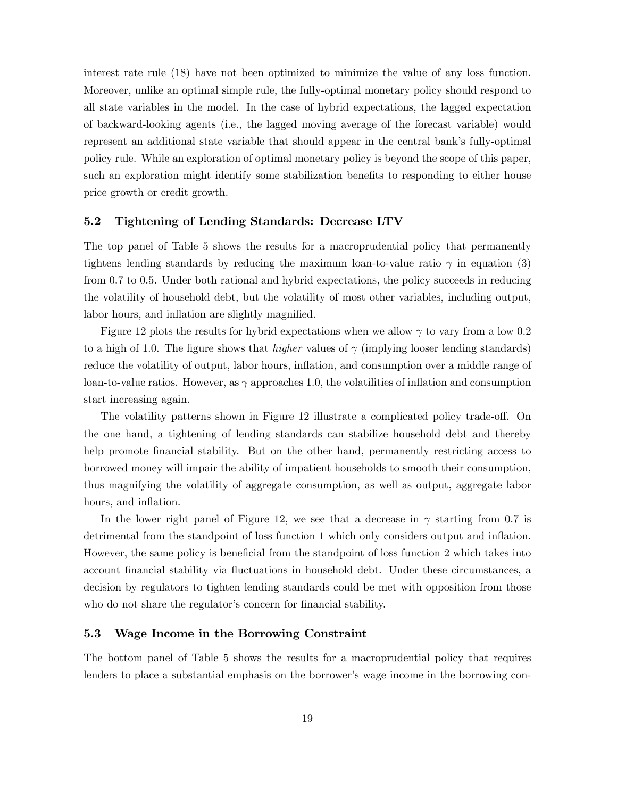interest rate rule (18) have not been optimized to minimize the value of any loss function. Moreover, unlike an optimal simple rule, the fully-optimal monetary policy should respond to all state variables in the model. In the case of hybrid expectations, the lagged expectation of backward-looking agents (i.e., the lagged moving average of the forecast variable) would represent an additional state variable that should appear in the central bank's fully-optimal policy rule. While an exploration of optimal monetary policy is beyond the scope of this paper, such an exploration might identify some stabilization benefits to responding to either house price growth or credit growth.

## 5.2 Tightening of Lending Standards: Decrease LTV

The top panel of Table 5 shows the results for a macroprudential policy that permanently tightens lending standards by reducing the maximum loan-to-value ratio  $\gamma$  in equation (3) from 0.7 to 0.5. Under both rational and hybrid expectations, the policy succeeds in reducing the volatility of household debt, but the volatility of most other variables, including output, labor hours, and inflation are slightly magnified.

Figure 12 plots the results for hybrid expectations when we allow  $\gamma$  to vary from a low 0.2 to a high of 1.0. The figure shows that *higher* values of  $\gamma$  (implying looser lending standards) reduce the volatility of output, labor hours, inflation, and consumption over a middle range of loan-to-value ratios. However, as  $\gamma$  approaches 1.0, the volatilities of inflation and consumption start increasing again.

The volatility patterns shown in Figure 12 illustrate a complicated policy trade-off. On the one hand, a tightening of lending standards can stabilize household debt and thereby help promote financial stability. But on the other hand, permanently restricting access to borrowed money will impair the ability of impatient households to smooth their consumption, thus magnifying the volatility of aggregate consumption, as well as output, aggregate labor hours, and inflation.

In the lower right panel of Figure 12, we see that a decrease in  $\gamma$  starting from 0.7 is detrimental from the standpoint of loss function 1 which only considers output and inflation. However, the same policy is beneficial from the standpoint of loss function 2 which takes into account financial stability via fluctuations in household debt. Under these circumstances, a decision by regulators to tighten lending standards could be met with opposition from those who do not share the regulator's concern for financial stability.

#### 5.3 Wage Income in the Borrowing Constraint

The bottom panel of Table 5 shows the results for a macroprudential policy that requires lenders to place a substantial emphasis on the borrower's wage income in the borrowing con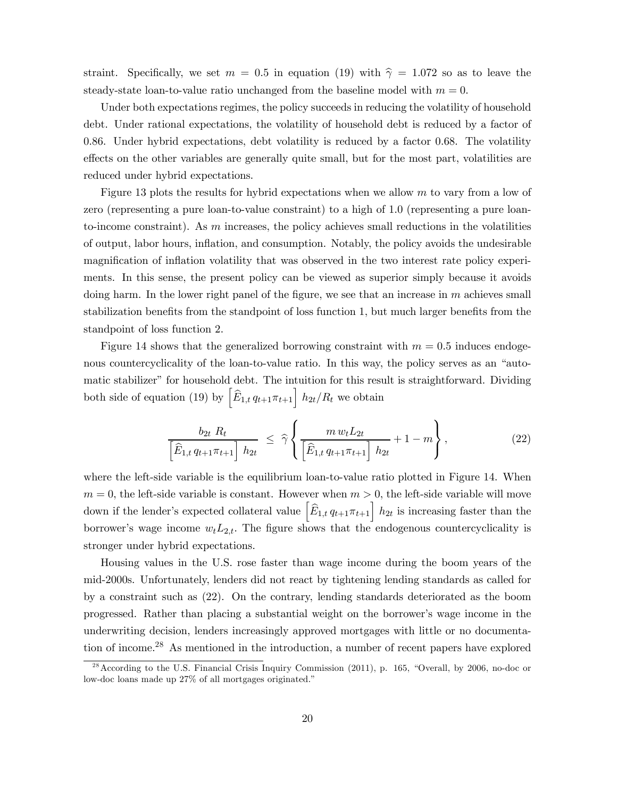straint. Specifically, we set  $m = 0.5$  in equation (19) with  $\hat{\gamma} = 1.072$  so as to leave the steady-state loan-to-value ratio unchanged from the baseline model with  $m = 0$ .

Under both expectations regimes, the policy succeeds in reducing the volatility of household debt. Under rational expectations, the volatility of household debt is reduced by a factor of 0.86. Under hybrid expectations, debt volatility is reduced by a factor 0.68. The volatility effects on the other variables are generally quite small, but for the most part, volatilities are reduced under hybrid expectations.

Figure 13 plots the results for hybrid expectations when we allow  $m$  to vary from a low of zero (representing a pure loan-to-value constraint) to a high of 1.0 (representing a pure loanto-income constraint). As  $m$  increases, the policy achieves small reductions in the volatilities of output, labor hours, inflation, and consumption. Notably, the policy avoids the undesirable magnification of inflation volatility that was observed in the two interest rate policy experiments. In this sense, the present policy can be viewed as superior simply because it avoids doing harm. In the lower right panel of the figure, we see that an increase in  $m$  achieves small stabilization benefits from the standpoint of loss function 1, but much larger benefits from the standpoint of loss function 2.

Figure 14 shows that the generalized borrowing constraint with  $m = 0.5$  induces endogenous countercyclicality of the loan-to-value ratio. In this way, the policy serves as an "automatic stabilizer" for household debt. The intuition for this result is straightforward. Dividing both side of equation (19) by  $\left[\widehat{E}_{1,t} q_{t+1}\pi_{t+1}\right] h_{2t}/R_t$  we obtain

$$
\frac{b_{2t} R_t}{\left[\hat{E}_{1,t} q_{t+1} \pi_{t+1}\right] h_{2t}} \leq \hat{\gamma} \left\{ \frac{m w_t L_{2t}}{\left[\hat{E}_{1,t} q_{t+1} \pi_{t+1}\right] h_{2t}} + 1 - m \right\},
$$
\n(22)

where the left-side variable is the equilibrium loan-to-value ratio plotted in Figure 14. When  $m = 0$ , the left-side variable is constant. However when  $m > 0$ , the left-side variable will move down if the lender's expected collateral value  $\left[\widehat{E}_{1,t} q_{t+1}\pi_{t+1}\right] h_{2t}$  is increasing faster than the borrower's wage income  $w_t L_{2,t}$ . The figure shows that the endogenous countercyclicality is stronger under hybrid expectations.

Housing values in the U.S. rose faster than wage income during the boom years of the mid-2000s. Unfortunately, lenders did not react by tightening lending standards as called for by a constraint such as (22). On the contrary, lending standards deteriorated as the boom progressed. Rather than placing a substantial weight on the borrower's wage income in the underwriting decision, lenders increasingly approved mortgages with little or no documentation of income.28 As mentioned in the introduction, a number of recent papers have explored

<sup>&</sup>lt;sup>28</sup> According to the U.S. Financial Crisis Inquiry Commission (2011), p. 165, "Overall, by 2006, no-doc or low-doc loans made up 27% of all mortgages originated."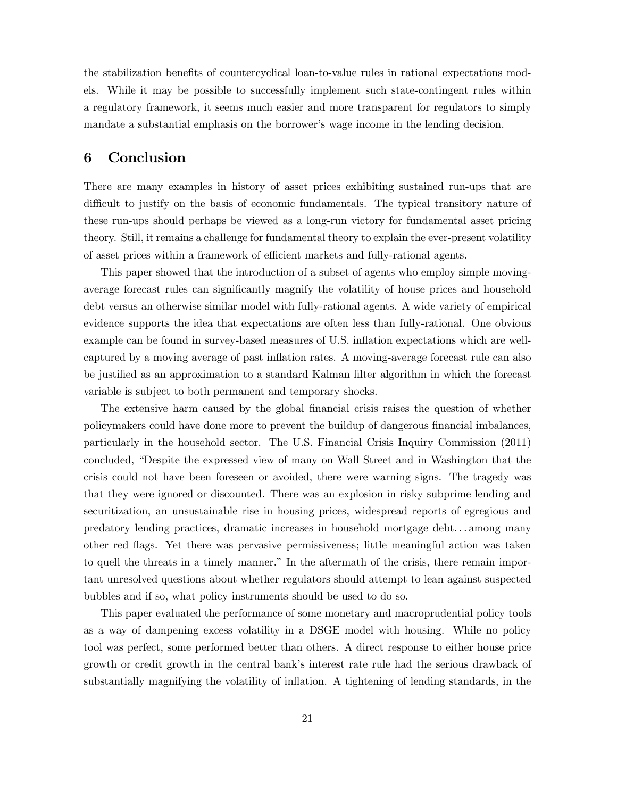the stabilization benefits of countercyclical loan-to-value rules in rational expectations models. While it may be possible to successfully implement such state-contingent rules within a regulatory framework, it seems much easier and more transparent for regulators to simply mandate a substantial emphasis on the borrower's wage income in the lending decision.

## 6 Conclusion

There are many examples in history of asset prices exhibiting sustained run-ups that are difficult to justify on the basis of economic fundamentals. The typical transitory nature of these run-ups should perhaps be viewed as a long-run victory for fundamental asset pricing theory. Still, it remains a challenge for fundamental theory to explain the ever-present volatility of asset prices within a framework of efficient markets and fully-rational agents.

This paper showed that the introduction of a subset of agents who employ simple movingaverage forecast rules can significantly magnify the volatility of house prices and household debt versus an otherwise similar model with fully-rational agents. A wide variety of empirical evidence supports the idea that expectations are often less than fully-rational. One obvious example can be found in survey-based measures of U.S. inflation expectations which are wellcaptured by a moving average of past inflation rates. A moving-average forecast rule can also be justified as an approximation to a standard Kalman filter algorithm in which the forecast variable is subject to both permanent and temporary shocks.

The extensive harm caused by the global financial crisis raises the question of whether policymakers could have done more to prevent the buildup of dangerous financial imbalances, particularly in the household sector. The U.S. Financial Crisis Inquiry Commission (2011) concluded, "Despite the expressed view of many on Wall Street and in Washington that the crisis could not have been foreseen or avoided, there were warning signs. The tragedy was that they were ignored or discounted. There was an explosion in risky subprime lending and securitization, an unsustainable rise in housing prices, widespread reports of egregious and predatory lending practices, dramatic increases in household mortgage debt. . . among many other red flags. Yet there was pervasive permissiveness; little meaningful action was taken to quell the threats in a timely manner." In the aftermath of the crisis, there remain important unresolved questions about whether regulators should attempt to lean against suspected bubbles and if so, what policy instruments should be used to do so.

This paper evaluated the performance of some monetary and macroprudential policy tools as a way of dampening excess volatility in a DSGE model with housing. While no policy tool was perfect, some performed better than others. A direct response to either house price growth or credit growth in the central bank's interest rate rule had the serious drawback of substantially magnifying the volatility of inflation. A tightening of lending standards, in the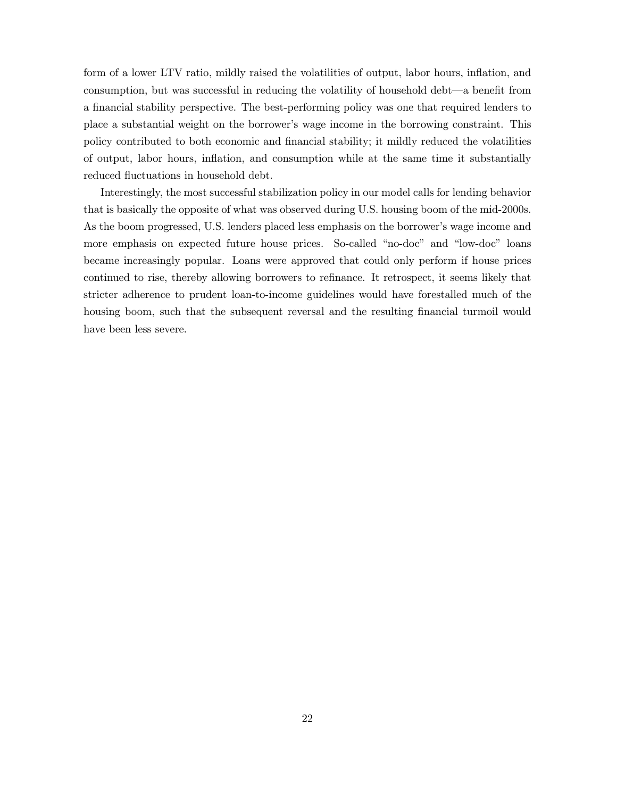form of a lower LTV ratio, mildly raised the volatilities of output, labor hours, inflation, and consumption, but was successful in reducing the volatility of household debt–a benefit from a financial stability perspective. The best-performing policy was one that required lenders to place a substantial weight on the borrower's wage income in the borrowing constraint. This policy contributed to both economic and financial stability; it mildly reduced the volatilities of output, labor hours, inflation, and consumption while at the same time it substantially reduced fluctuations in household debt.

Interestingly, the most successful stabilization policy in our model calls for lending behavior that is basically the opposite of what was observed during U.S. housing boom of the mid-2000s. As the boom progressed, U.S. lenders placed less emphasis on the borrower's wage income and more emphasis on expected future house prices. So-called "no-doc" and "low-doc" loans became increasingly popular. Loans were approved that could only perform if house prices continued to rise, thereby allowing borrowers to refinance. It retrospect, it seems likely that stricter adherence to prudent loan-to-income guidelines would have forestalled much of the housing boom, such that the subsequent reversal and the resulting financial turmoil would have been less severe.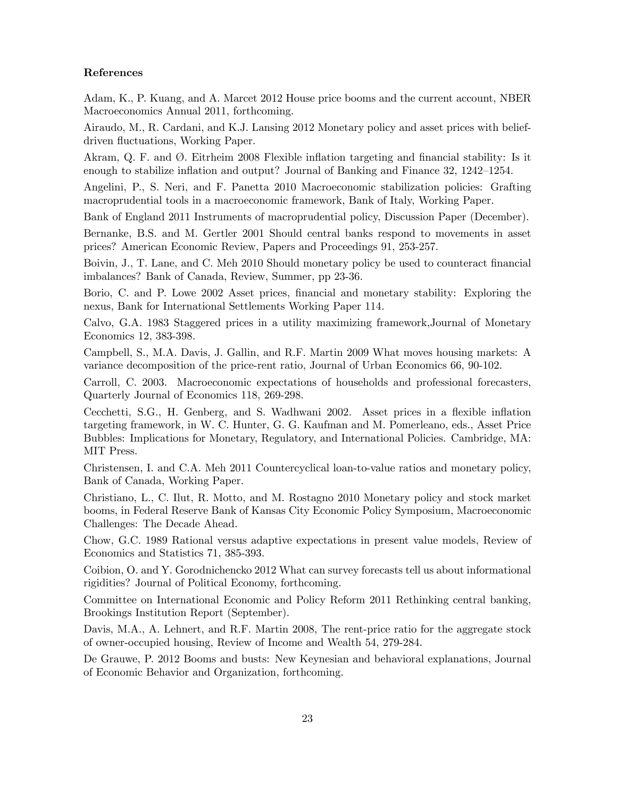### References

Adam, K., P. Kuang, and A. Marcet 2012 House price booms and the current account, NBER Macroeconomics Annual 2011, forthcoming.

Airaudo, M., R. Cardani, and K.J. Lansing 2012 Monetary policy and asset prices with beliefdriven fluctuations, Working Paper.

Akram, Q. F. and Ø. Eitrheim 2008 Flexible inflation targeting and financial stability: Is it enough to stabilize inflation and output? Journal of Banking and Finance 32, 1242—1254.

Angelini, P., S. Neri, and F. Panetta 2010 Macroeconomic stabilization policies: Grafting macroprudential tools in a macroeconomic framework, Bank of Italy, Working Paper.

Bank of England 2011 Instruments of macroprudential policy, Discussion Paper (December).

Bernanke, B.S. and M. Gertler 2001 Should central banks respond to movements in asset prices? American Economic Review, Papers and Proceedings 91, 253-257.

Boivin, J., T. Lane, and C. Meh 2010 Should monetary policy be used to counteract financial imbalances? Bank of Canada, Review, Summer, pp 23-36.

Borio, C. and P. Lowe 2002 Asset prices, financial and monetary stability: Exploring the nexus, Bank for International Settlements Working Paper 114.

Calvo, G.A. 1983 Staggered prices in a utility maximizing framework,Journal of Monetary Economics 12, 383-398.

Campbell, S., M.A. Davis, J. Gallin, and R.F. Martin 2009 What moves housing markets: A variance decomposition of the price-rent ratio, Journal of Urban Economics 66, 90-102.

Carroll, C. 2003. Macroeconomic expectations of households and professional forecasters, Quarterly Journal of Economics 118, 269-298.

Cecchetti, S.G., H. Genberg, and S. Wadhwani 2002. Asset prices in a flexible inflation targeting framework, in W. C. Hunter, G. G. Kaufman and M. Pomerleano, eds., Asset Price Bubbles: Implications for Monetary, Regulatory, and International Policies. Cambridge, MA: MIT Press.

Christensen, I. and C.A. Meh 2011 Countercyclical loan-to-value ratios and monetary policy, Bank of Canada, Working Paper.

Christiano, L., C. Ilut, R. Motto, and M. Rostagno 2010 Monetary policy and stock market booms, in Federal Reserve Bank of Kansas City Economic Policy Symposium, Macroeconomic Challenges: The Decade Ahead.

Chow, G.C. 1989 Rational versus adaptive expectations in present value models, Review of Economics and Statistics 71, 385-393.

Coibion, O. and Y. Gorodnichencko 2012 What can survey forecasts tell us about informational rigidities? Journal of Political Economy, forthcoming.

Committee on International Economic and Policy Reform 2011 Rethinking central banking, Brookings Institution Report (September).

Davis, M.A., A. Lehnert, and R.F. Martin 2008, The rent-price ratio for the aggregate stock of owner-occupied housing, Review of Income and Wealth 54, 279-284.

De Grauwe, P. 2012 Booms and busts: New Keynesian and behavioral explanations, Journal of Economic Behavior and Organization, forthcoming.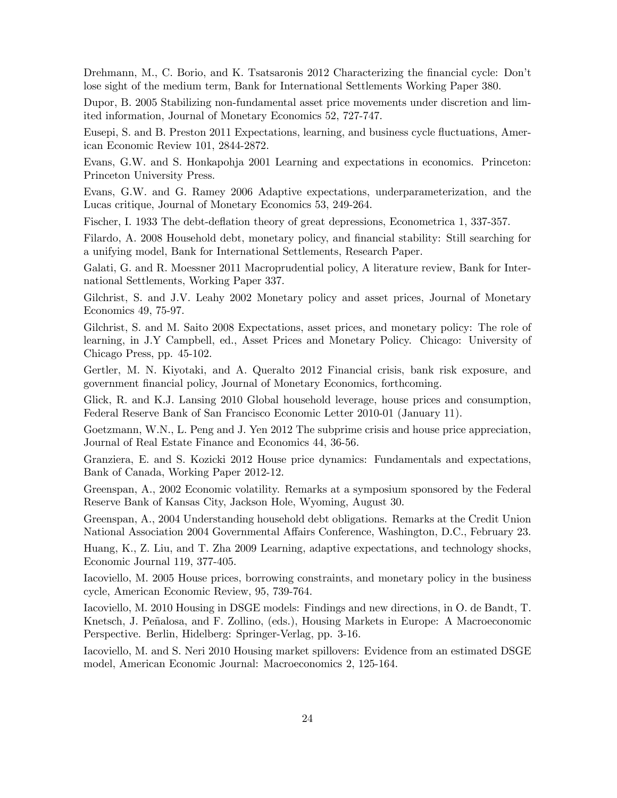Drehmann, M., C. Borio, and K. Tsatsaronis 2012 Characterizing the financial cycle: Don't lose sight of the medium term, Bank for International Settlements Working Paper 380.

Dupor, B. 2005 Stabilizing non-fundamental asset price movements under discretion and limited information, Journal of Monetary Economics 52, 727-747.

Eusepi, S. and B. Preston 2011 Expectations, learning, and business cycle fluctuations, American Economic Review 101, 2844-2872.

Evans, G.W. and S. Honkapohja 2001 Learning and expectations in economics. Princeton: Princeton University Press.

Evans, G.W. and G. Ramey 2006 Adaptive expectations, underparameterization, and the Lucas critique, Journal of Monetary Economics 53, 249-264.

Fischer, I. 1933 The debt-deflation theory of great depressions, Econometrica 1, 337-357.

Filardo, A. 2008 Household debt, monetary policy, and financial stability: Still searching for a unifying model, Bank for International Settlements, Research Paper.

Galati, G. and R. Moessner 2011 Macroprudential policy, A literature review, Bank for International Settlements, Working Paper 337.

Gilchrist, S. and J.V. Leahy 2002 Monetary policy and asset prices, Journal of Monetary Economics 49, 75-97.

Gilchrist, S. and M. Saito 2008 Expectations, asset prices, and monetary policy: The role of learning, in J.Y Campbell, ed., Asset Prices and Monetary Policy. Chicago: University of Chicago Press, pp. 45-102.

Gertler, M. N. Kiyotaki, and A. Queralto 2012 Financial crisis, bank risk exposure, and government financial policy, Journal of Monetary Economics, forthcoming.

Glick, R. and K.J. Lansing 2010 Global household leverage, house prices and consumption, Federal Reserve Bank of San Francisco Economic Letter 2010-01 (January 11).

Goetzmann, W.N., L. Peng and J. Yen 2012 The subprime crisis and house price appreciation, Journal of Real Estate Finance and Economics 44, 36-56.

Granziera, E. and S. Kozicki 2012 House price dynamics: Fundamentals and expectations, Bank of Canada, Working Paper 2012-12.

Greenspan, A., 2002 Economic volatility. Remarks at a symposium sponsored by the Federal Reserve Bank of Kansas City, Jackson Hole, Wyoming, August 30.

Greenspan, A., 2004 Understanding household debt obligations. Remarks at the Credit Union National Association 2004 Governmental Affairs Conference, Washington, D.C., February 23.

Huang, K., Z. Liu, and T. Zha 2009 Learning, adaptive expectations, and technology shocks, Economic Journal 119, 377-405.

Iacoviello, M. 2005 House prices, borrowing constraints, and monetary policy in the business cycle, American Economic Review, 95, 739-764.

Iacoviello, M. 2010 Housing in DSGE models: Findings and new directions, in O. de Bandt, T. Knetsch, J. Peñalosa, and F. Zollino, (eds.), Housing Markets in Europe: A Macroeconomic Perspective. Berlin, Hidelberg: Springer-Verlag, pp. 3-16.

Iacoviello, M. and S. Neri 2010 Housing market spillovers: Evidence from an estimated DSGE model, American Economic Journal: Macroeconomics 2, 125-164.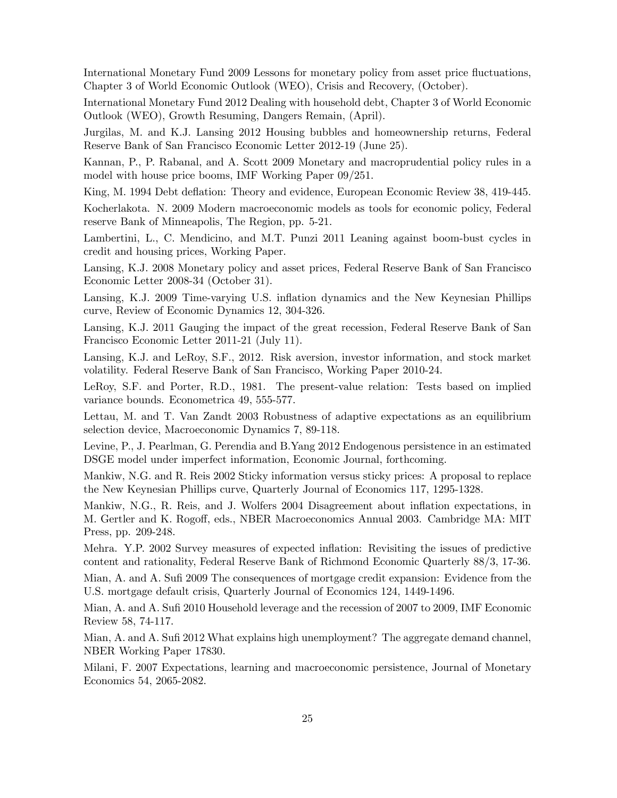International Monetary Fund 2009 Lessons for monetary policy from asset price fluctuations, Chapter 3 of World Economic Outlook (WEO), Crisis and Recovery, (October).

International Monetary Fund 2012 Dealing with household debt, Chapter 3 of World Economic Outlook (WEO), Growth Resuming, Dangers Remain, (April).

Jurgilas, M. and K.J. Lansing 2012 Housing bubbles and homeownership returns, Federal Reserve Bank of San Francisco Economic Letter 2012-19 (June 25).

Kannan, P., P. Rabanal, and A. Scott 2009 Monetary and macroprudential policy rules in a model with house price booms, IMF Working Paper 09/251.

King, M. 1994 Debt deflation: Theory and evidence, European Economic Review 38, 419-445.

Kocherlakota. N. 2009 Modern macroeconomic models as tools for economic policy, Federal reserve Bank of Minneapolis, The Region, pp. 5-21.

Lambertini, L., C. Mendicino, and M.T. Punzi 2011 Leaning against boom-bust cycles in credit and housing prices, Working Paper.

Lansing, K.J. 2008 Monetary policy and asset prices, Federal Reserve Bank of San Francisco Economic Letter 2008-34 (October 31).

Lansing, K.J. 2009 Time-varying U.S. inflation dynamics and the New Keynesian Phillips curve, Review of Economic Dynamics 12, 304-326.

Lansing, K.J. 2011 Gauging the impact of the great recession, Federal Reserve Bank of San Francisco Economic Letter 2011-21 (July 11).

Lansing, K.J. and LeRoy, S.F., 2012. Risk aversion, investor information, and stock market volatility. Federal Reserve Bank of San Francisco, Working Paper 2010-24.

LeRoy, S.F. and Porter, R.D., 1981. The present-value relation: Tests based on implied variance bounds. Econometrica 49, 555-577.

Lettau, M. and T. Van Zandt 2003 Robustness of adaptive expectations as an equilibrium selection device, Macroeconomic Dynamics 7, 89-118.

Levine, P., J. Pearlman, G. Perendia and B.Yang 2012 Endogenous persistence in an estimated DSGE model under imperfect information, Economic Journal, forthcoming.

Mankiw, N.G. and R. Reis 2002 Sticky information versus sticky prices: A proposal to replace the New Keynesian Phillips curve, Quarterly Journal of Economics 117, 1295-1328.

Mankiw, N.G., R. Reis, and J. Wolfers 2004 Disagreement about inflation expectations, in M. Gertler and K. Rogoff, eds., NBER Macroeconomics Annual 2003. Cambridge MA: MIT Press, pp. 209-248.

Mehra. Y.P. 2002 Survey measures of expected inflation: Revisiting the issues of predictive content and rationality, Federal Reserve Bank of Richmond Economic Quarterly 88/3, 17-36.

Mian, A. and A. Sufi 2009 The consequences of mortgage credit expansion: Evidence from the U.S. mortgage default crisis, Quarterly Journal of Economics 124, 1449-1496.

Mian, A. and A. Sufi 2010 Household leverage and the recession of 2007 to 2009, IMF Economic Review 58, 74-117.

Mian, A. and A. Sufi 2012 What explains high unemployment? The aggregate demand channel, NBER Working Paper 17830.

Milani, F. 2007 Expectations, learning and macroeconomic persistence, Journal of Monetary Economics 54, 2065-2082.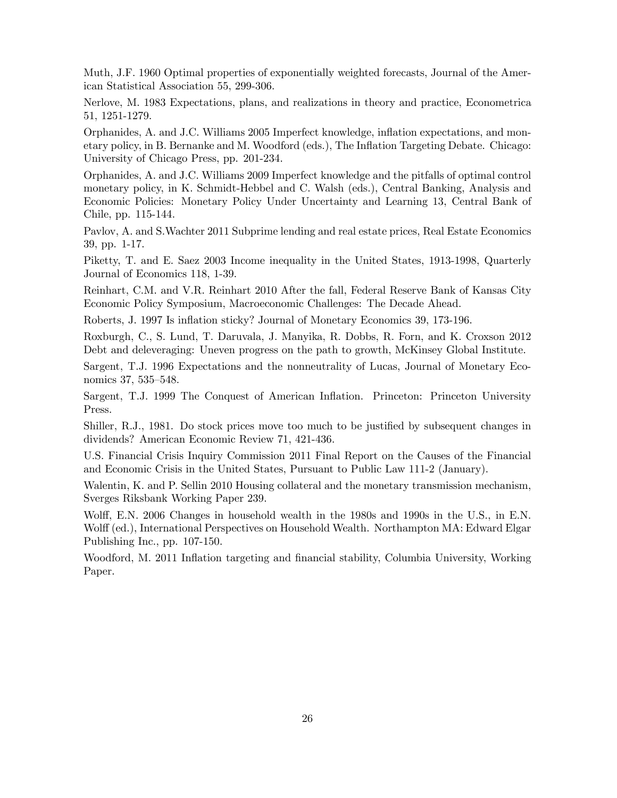Muth, J.F. 1960 Optimal properties of exponentially weighted forecasts, Journal of the American Statistical Association 55, 299-306.

Nerlove, M. 1983 Expectations, plans, and realizations in theory and practice, Econometrica 51, 1251-1279.

Orphanides, A. and J.C. Williams 2005 Imperfect knowledge, inflation expectations, and monetary policy, in B. Bernanke and M. Woodford (eds.), The Inflation Targeting Debate. Chicago: University of Chicago Press, pp. 201-234.

Orphanides, A. and J.C. Williams 2009 Imperfect knowledge and the pitfalls of optimal control monetary policy, in K. Schmidt-Hebbel and C. Walsh (eds.), Central Banking, Analysis and Economic Policies: Monetary Policy Under Uncertainty and Learning 13, Central Bank of Chile, pp. 115-144.

Pavlov, A. and S.Wachter 2011 Subprime lending and real estate prices, Real Estate Economics 39, pp. 1-17.

Piketty, T. and E. Saez 2003 Income inequality in the United States, 1913-1998, Quarterly Journal of Economics 118, 1-39.

Reinhart, C.M. and V.R. Reinhart 2010 After the fall, Federal Reserve Bank of Kansas City Economic Policy Symposium, Macroeconomic Challenges: The Decade Ahead.

Roberts, J. 1997 Is inflation sticky? Journal of Monetary Economics 39, 173-196.

Roxburgh, C., S. Lund, T. Daruvala, J. Manyika, R. Dobbs, R. Forn, and K. Croxson 2012 Debt and deleveraging: Uneven progress on the path to growth, McKinsey Global Institute.

Sargent, T.J. 1996 Expectations and the nonneutrality of Lucas, Journal of Monetary Economics 37, 535—548.

Sargent, T.J. 1999 The Conquest of American Inflation. Princeton: Princeton University Press.

Shiller, R.J., 1981. Do stock prices move too much to be justified by subsequent changes in dividends? American Economic Review 71, 421-436.

U.S. Financial Crisis Inquiry Commission 2011 Final Report on the Causes of the Financial and Economic Crisis in the United States, Pursuant to Public Law 111-2 (January).

Walentin, K. and P. Sellin 2010 Housing collateral and the monetary transmission mechanism, Sverges Riksbank Working Paper 239.

Wolff, E.N. 2006 Changes in household wealth in the 1980s and 1990s in the U.S., in E.N. Wolff (ed.), International Perspectives on Household Wealth. Northampton MA: Edward Elgar Publishing Inc., pp. 107-150.

Woodford, M. 2011 Inflation targeting and financial stability, Columbia University, Working Paper.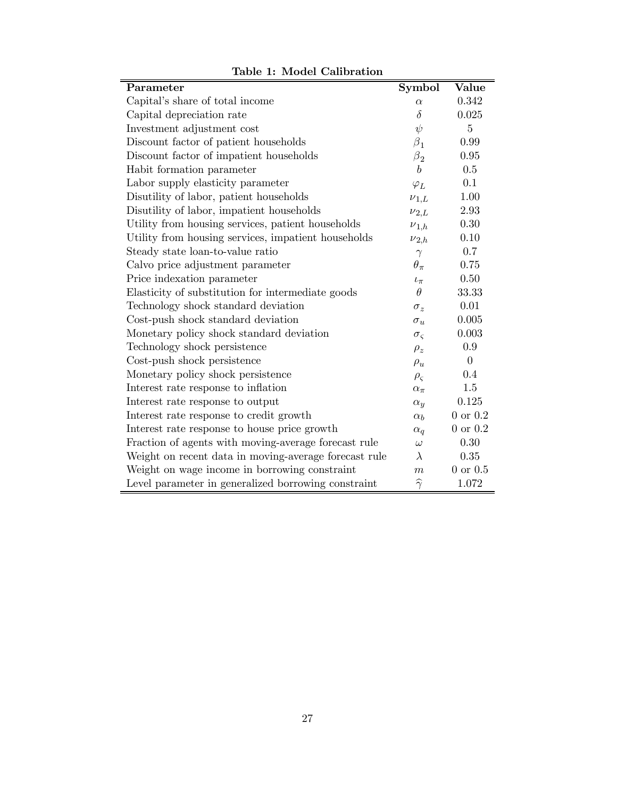| Parameter                                             | <b>Symbol</b>        | Value          |
|-------------------------------------------------------|----------------------|----------------|
| Capital's share of total income                       | $\alpha$             | 0.342          |
| Capital depreciation rate                             | $\delta$             | 0.025          |
| Investment adjustment cost                            | $\psi$               | 5              |
| Discount factor of patient households                 | $\beta_1$            | 0.99           |
| Discount factor of impatient households               | $\beta_2$            | 0.95           |
| Habit formation parameter                             | $\boldsymbol{b}$     | 0.5            |
| Labor supply elasticity parameter                     | $\varphi_L$          | 0.1            |
| Disutility of labor, patient households               | $\nu_{1,L}$          | 1.00           |
| Disutility of labor, impatient households             | $\nu_{2,L}$          | 2.93           |
| Utility from housing services, patient households     | $\nu_{1,h}$          | 0.30           |
| Utility from housing services, impatient households   | $\nu_{2,h}$          | 0.10           |
| Steady state loan-to-value ratio                      | $\gamma$             | 0.7            |
| Calvo price adjustment parameter                      | $\theta_{\pi}$       | 0.75           |
| Price indexation parameter                            | $t_{\pi}$            | 0.50           |
| Elasticity of substitution for intermediate goods     | $\theta$             | 33.33          |
| Technology shock standard deviation                   | $\sigma_z$           | 0.01           |
| Cost-push shock standard deviation                    | $\sigma_u$           | 0.005          |
| Monetary policy shock standard deviation              | $\sigma_{\varsigma}$ | 0.003          |
| Technology shock persistence                          | $\rho_z$             | 0.9            |
| Cost-push shock persistence                           | $\rho_u$             | $\theta$       |
| Monetary policy shock persistence                     | $\rho_{\varsigma}$   | 0.4            |
| Interest rate response to inflation                   | $\alpha_{\pi}$       | 1.5            |
| Interest rate response to output                      | $\alpha_y$           | 0.125          |
| Interest rate response to credit growth               | $\alpha_b$           | $0$ or $0.2$   |
| Interest rate response to house price growth          | $\alpha_q$           | $0$ or $0.2$   |
| Fraction of agents with moving-average forecast rule  | $\omega$             | 0.30           |
| Weight on recent data in moving-average forecast rule | $\lambda$            | 0.35           |
| Weight on wage income in borrowing constraint         | $\boldsymbol{m}$     | $0$ or $0.5\,$ |
| Level parameter in generalized borrowing constraint   | $\widehat{\gamma}$   | 1.072          |

Table 1: Model Calibration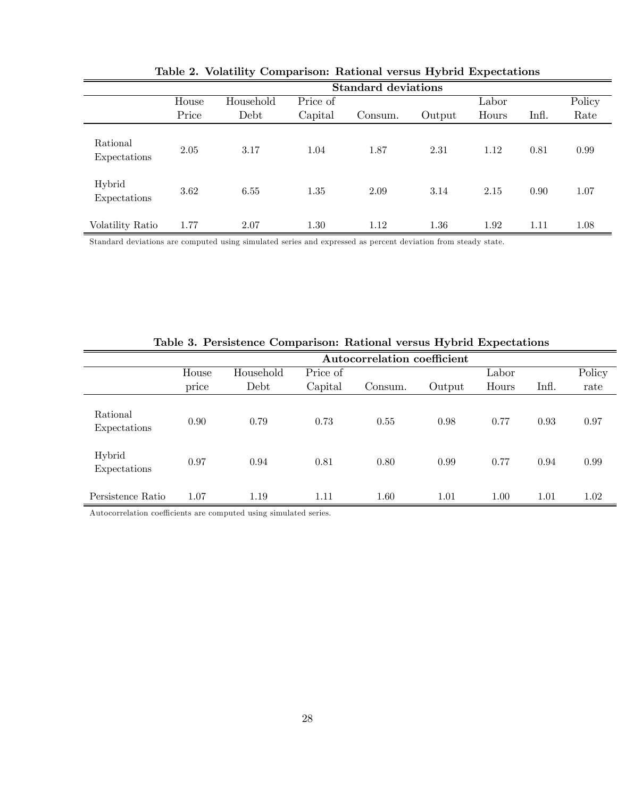|                          | <b>Standard deviations</b> |           |          |         |        |       |       |        |
|--------------------------|----------------------------|-----------|----------|---------|--------|-------|-------|--------|
|                          | House                      | Household | Price of |         |        | Labor |       | Policy |
|                          | Price                      | Debt      | Capital  | Consum. | Output | Hours | Infl. | Rate   |
| Rational<br>Expectations | 2.05                       | 3.17      | 1.04     | 1.87    | 2.31   | 1.12  | 0.81  | 0.99   |
| Hybrid<br>Expectations   | 3.62                       | 6.55      | 1.35     | 2.09    | 3.14   | 2.15  | 0.90  | 1.07   |
| Volatility Ratio         | 1.77                       | 2.07      | 1.30     | 1.12    | 1.36   | 1.92  | 1.11  | 1.08   |

Table 2. Volatility Comparison: Rational versus Hybrid Expectations

Standard deviations are computed using simulated series and expressed as percent deviation from steady state.

|                          |                  |           |          | Autocorrelation coefficient |        |       |       |        |
|--------------------------|------------------|-----------|----------|-----------------------------|--------|-------|-------|--------|
|                          | House            | Household | Price of |                             |        | Labor |       | Policy |
|                          | $\cdot$<br>price | Debt      | Capital  | Consum.                     | Output | Hours | Infl. | rate   |
| Rational<br>Expectations | 0.90             | 0.79      | 0.73     | 0.55                        | 0.98   | 0.77  | 0.93  | 0.97   |
| Hybrid<br>Expectations   | 0.97             | 0.94      | 0.81     | 0.80                        | 0.99   | 0.77  | 0.94  | 0.99   |
| Persistence Ratio        | 1.07             | 1.19      | 1.11     | 1.60                        | 1.01   | 1.00  | 1.01  | 1.02   |

Table 3. Persistence Comparison: Rational versus Hybrid Expectations

Autocorrelation coefficients are computed using simulated series.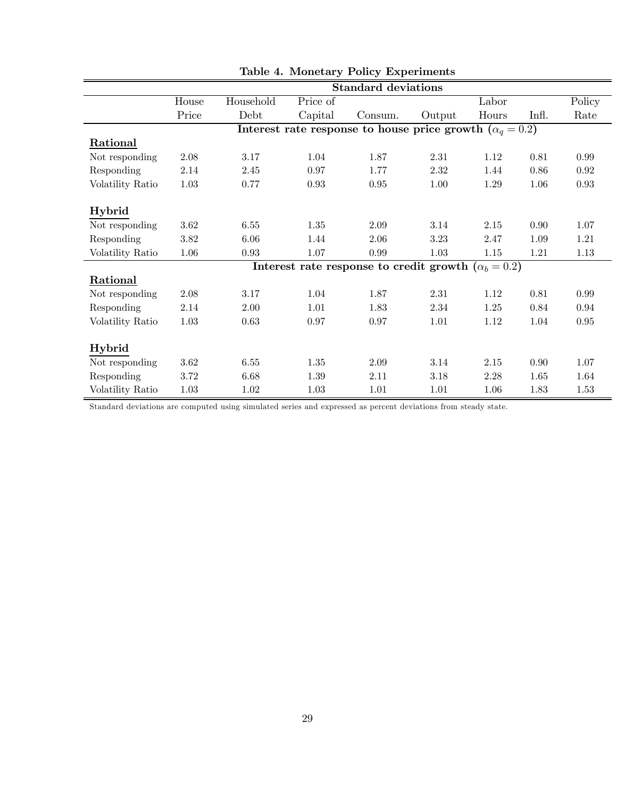|                  | <b>Standard deviations</b> |           |          |                                                                 |        |       |       |        |
|------------------|----------------------------|-----------|----------|-----------------------------------------------------------------|--------|-------|-------|--------|
|                  | House                      | Household | Price of |                                                                 |        | Labor |       | Policy |
|                  | Price                      | Debt      | Capital  | Consum.                                                         | Output | Hours | Infl. | Rate   |
|                  |                            |           |          | Interest rate response to house price growth $(\alpha_q = 0.2)$ |        |       |       |        |
| <b>Rational</b>  |                            |           |          |                                                                 |        |       |       |        |
| Not responding   | 2.08                       | 3.17      | 1.04     | 1.87                                                            | 2.31   | 1.12  | 0.81  | 0.99   |
| Responding       | 2.14                       | 2.45      | 0.97     | 1.77                                                            | 2.32   | 1.44  | 0.86  | 0.92   |
| Volatility Ratio | 1.03                       | 0.77      | 0.93     | $\rm 0.95$                                                      | 1.00   | 1.29  | 1.06  | 0.93   |
|                  |                            |           |          |                                                                 |        |       |       |        |
| <b>Hybrid</b>    |                            |           |          |                                                                 |        |       |       |        |
| Not responding   | 3.62                       | 6.55      | 1.35     | 2.09                                                            | 3.14   | 2.15  | 0.90  | 1.07   |
| Responding       | 3.82                       | 6.06      | 1.44     | 2.06                                                            | 3.23   | 2.47  | 1.09  | 1.21   |
| Volatility Ratio | 1.06                       | 0.93      | 1.07     | 0.99                                                            | 1.03   | 1.15  | 1.21  | 1.13   |
|                  |                            |           |          | Interest rate response to credit growth $(\alpha_b = 0.2)$      |        |       |       |        |
| Rational         |                            |           |          |                                                                 |        |       |       |        |
| Not responding   | 2.08                       | 3.17      | 1.04     | 1.87                                                            | 2.31   | 1.12  | 0.81  | 0.99   |
| Responding       | 2.14                       | 2.00      | 1.01     | 1.83                                                            | 2.34   | 1.25  | 0.84  | 0.94   |
| Volatility Ratio | 1.03                       | 0.63      | 0.97     | 0.97                                                            | 1.01   | 1.12  | 1.04  | 0.95   |
|                  |                            |           |          |                                                                 |        |       |       |        |
| Hybrid           |                            |           |          |                                                                 |        |       |       |        |
| Not responding   | 3.62                       | 6.55      | 1.35     | 2.09                                                            | 3.14   | 2.15  | 0.90  | 1.07   |
| Responding       | 3.72                       | 6.68      | 1.39     | 2.11                                                            | 3.18   | 2.28  | 1.65  | 1.64   |
| Volatility Ratio | $1.03\,$                   | 1.02      | $1.03\,$ | 1.01                                                            | 1.01   | 1.06  | 1.83  | 1.53   |

|  |  |  | Table 4. Monetary Policy Experiments |
|--|--|--|--------------------------------------|
|--|--|--|--------------------------------------|

Standard deviations are computed using simulated series and expressed as percent deviations from steady state.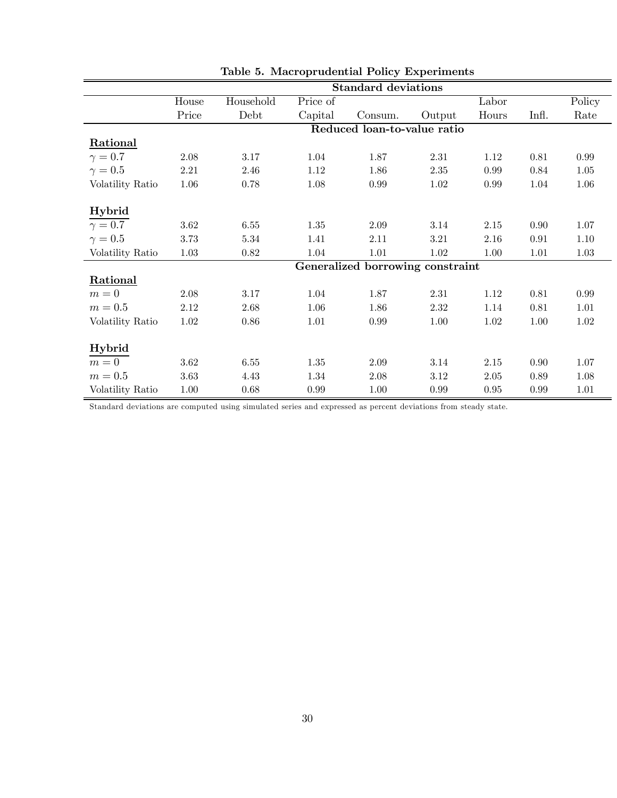|                  | <b>Standard deviations</b> |           |          |                                  |          |          |            |          |
|------------------|----------------------------|-----------|----------|----------------------------------|----------|----------|------------|----------|
|                  | House                      | Household | Price of |                                  |          | Labor    |            | Policy   |
|                  | Price                      | Debt      | Capital  | Consum.                          | Output   | Hours    | Infl.      | Rate     |
|                  |                            |           |          | Reduced loan-to-value ratio      |          |          |            |          |
| <b>Rational</b>  |                            |           |          |                                  |          |          |            |          |
| $\gamma=0.7$     | 2.08                       | 3.17      | 1.04     | 1.87                             | 2.31     | 1.12     | 0.81       | 0.99     |
| $\gamma=0.5$     | 2.21                       | 2.46      | 1.12     | 1.86                             | $2.35\,$ | 0.99     | 0.84       | $1.05\,$ |
| Volatility Ratio | 1.06                       | 0.78      | 1.08     | 0.99                             | 1.02     | 0.99     | 1.04       | 1.06     |
|                  |                            |           |          |                                  |          |          |            |          |
| Hybrid           |                            |           |          |                                  |          |          |            |          |
| $\gamma=0.7$     | 3.62                       | 6.55      | 1.35     | 2.09                             | 3.14     | 2.15     | 0.90       | 1.07     |
| $\gamma=0.5$     | 3.73                       | 5.34      | 1.41     | 2.11                             | 3.21     | $2.16\,$ | $\rm 0.91$ | 1.10     |
| Volatility Ratio | 1.03                       | 0.82      | 1.04     | 1.01                             | 1.02     | 1.00     | 1.01       | 1.03     |
|                  |                            |           |          | Generalized borrowing constraint |          |          |            |          |
| Rational         |                            |           |          |                                  |          |          |            |          |
| $m=0$            | 2.08                       | 3.17      | 1.04     | 1.87                             | 2.31     | 1.12     | 0.81       | 0.99     |
| $m=0.5$          | 2.12                       | 2.68      | 1.06     | 1.86                             | 2.32     | 1.14     | 0.81       | 1.01     |
| Volatility Ratio | 1.02                       | 0.86      | 1.01     | 0.99                             | 1.00     | 1.02     | 1.00       | 1.02     |
|                  |                            |           |          |                                  |          |          |            |          |
| Hybrid           |                            |           |          |                                  |          |          |            |          |
| $m=0$            | 3.62                       | 6.55      | 1.35     | 2.09                             | 3.14     | 2.15     | 0.90       | 1.07     |
| $m=0.5$          | 3.63                       | 4.43      | 1.34     | 2.08                             | 3.12     | 2.05     | 0.89       | 1.08     |
| Volatility Ratio | $1.00\,$                   | 0.68      | 0.99     | 1.00                             | 0.99     | 0.95     | $0.99\,$   | 1.01     |

| Table 5. Macroprudential Policy Experiments |
|---------------------------------------------|

Standard deviations are computed using simulated series and expressed as percent deviations from steady state.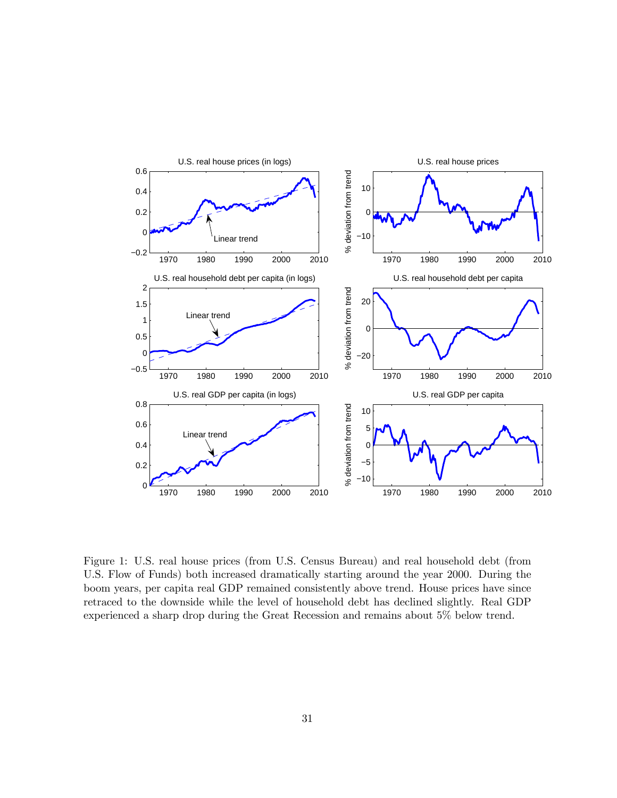

Figure 1: U.S. real house prices (from U.S. Census Bureau) and real household debt (from U.S. Flow of Funds) both increased dramatically starting around the year 2000. During the boom years, per capita real GDP remained consistently above trend. House prices have since retraced to the downside while the level of household debt has declined slightly. Real GDP experienced a sharp drop during the Great Recession and remains about 5% below trend.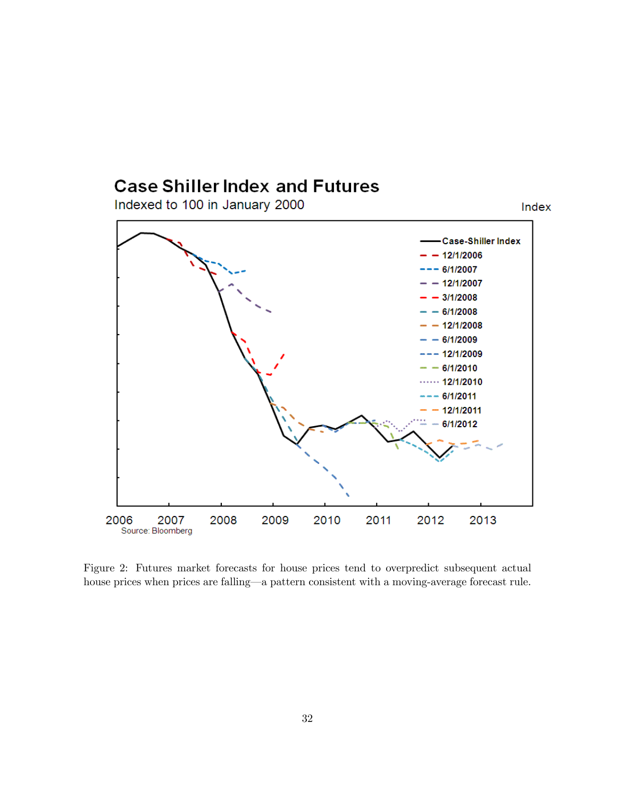# **Case Shiller Index and Futures**

Indexed to 100 in January 2000



Index

Figure 2: Futures market forecasts for house prices tend to overpredict subsequent actual house prices when prices are falling–a pattern consistent with a moving-average forecast rule.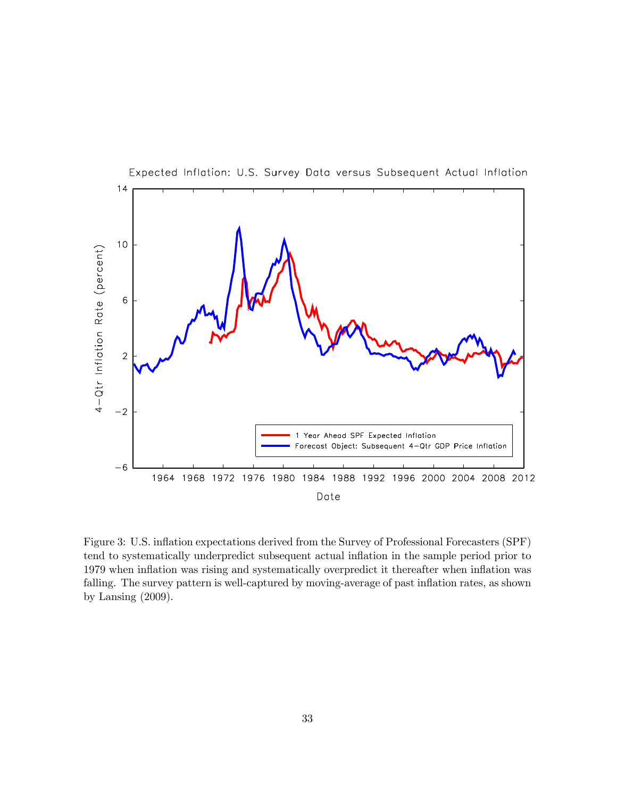

Figure 3: U.S. inflation expectations derived from the Survey of Professional Forecasters (SPF) tend to systematically underpredict subsequent actual inflation in the sample period prior to 1979 when inflation was rising and systematically overpredict it thereafter when inflation was falling. The survey pattern is well-captured by moving-average of past inflation rates, as shown by Lansing (2009).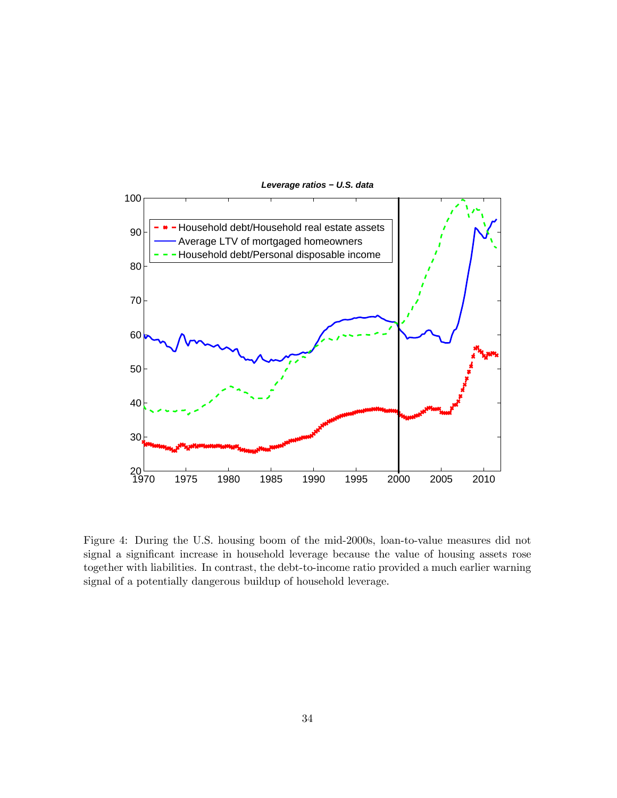

Figure 4: During the U.S. housing boom of the mid-2000s, loan-to-value measures did not signal a significant increase in household leverage because the value of housing assets rose together with liabilities. In contrast, the debt-to-income ratio provided a much earlier warning

signal of a potentially dangerous buildup of household leverage.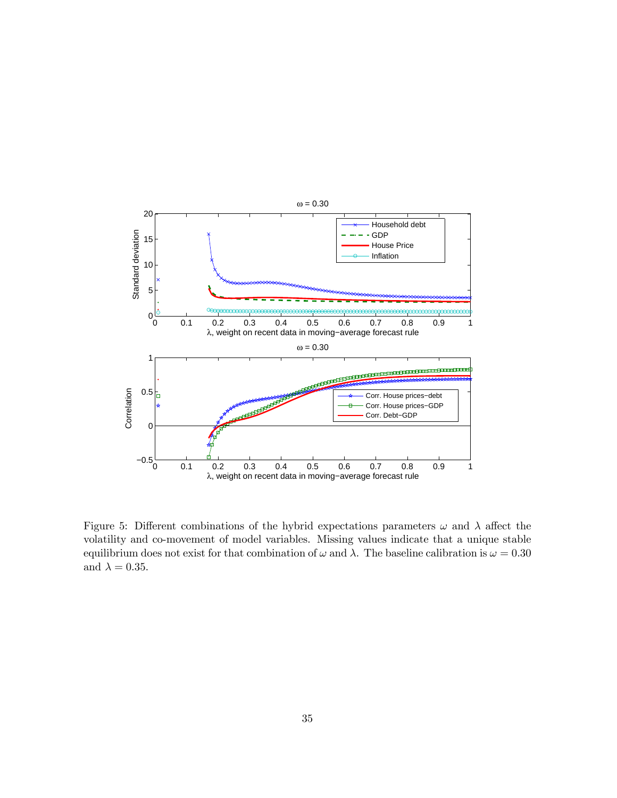

Figure 5: Different combinations of the hybrid expectations parameters  $\omega$  and  $\lambda$  affect the volatility and co-movement of model variables. Missing values indicate that a unique stable equilibrium does not exist for that combination of  $\omega$  and  $\lambda$ . The baseline calibration is  $\omega = 0.30$ and  $\lambda = 0.35$ .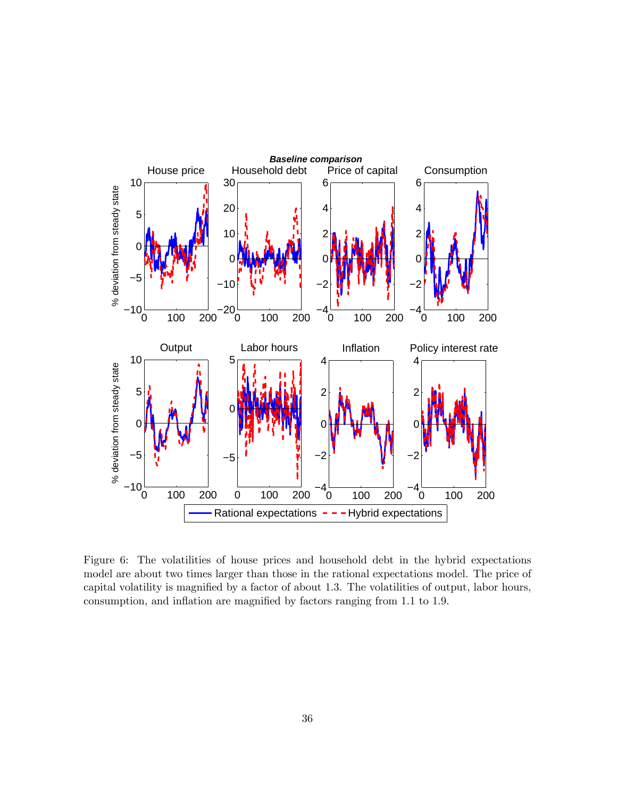

Figure 6: The volatilities of house prices and household debt in the hybrid expectations model are about two times larger than those in the rational expectations model. The price of capital volatility is magnified by a factor of about 1.3. The volatilities of output, labor hours, consumption, and inflation are magnified by factors ranging from 1.1 to 1.9.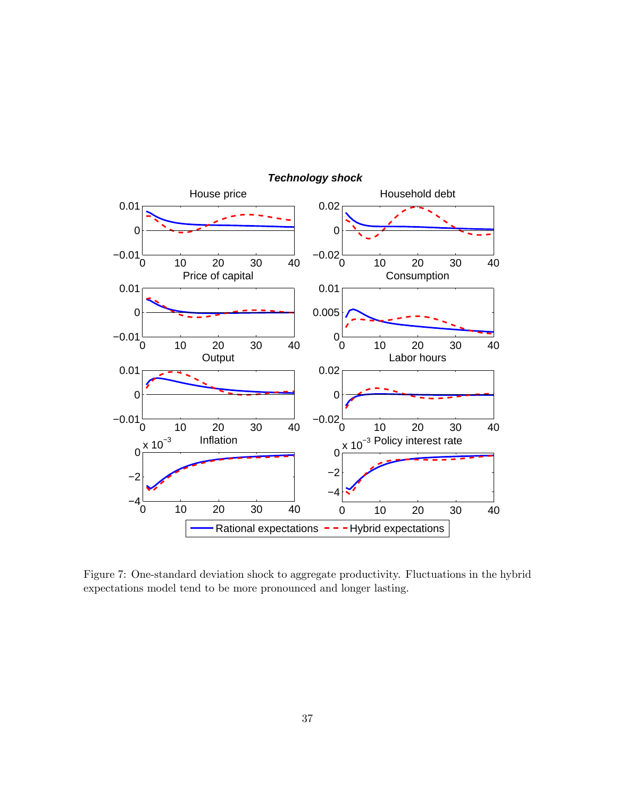

*Technology shock*

Figure 7: One-standard deviation shock to aggregate productivity. Fluctuations in the hybrid expectations model tend to be more pronounced and longer lasting.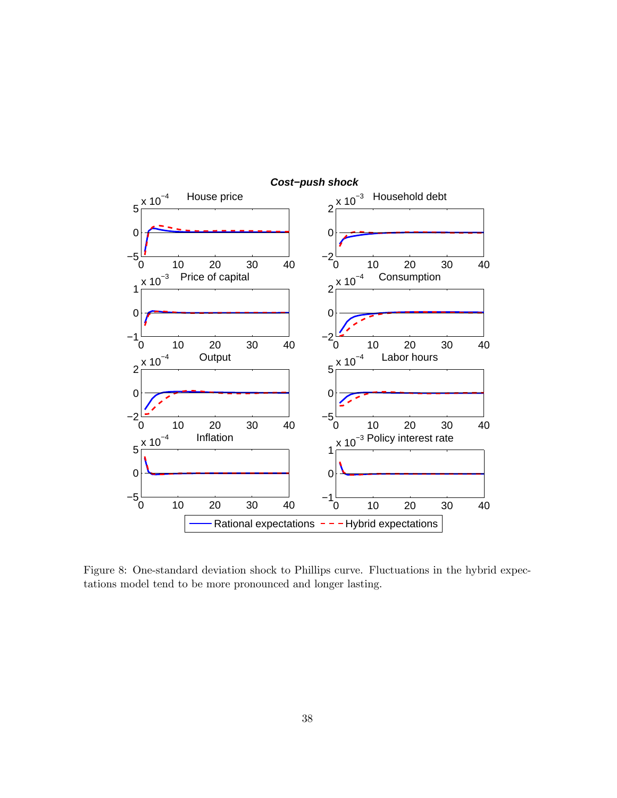

Figure 8: One-standard deviation shock to Phillips curve. Fluctuations in the hybrid expectations model tend to be more pronounced and longer lasting.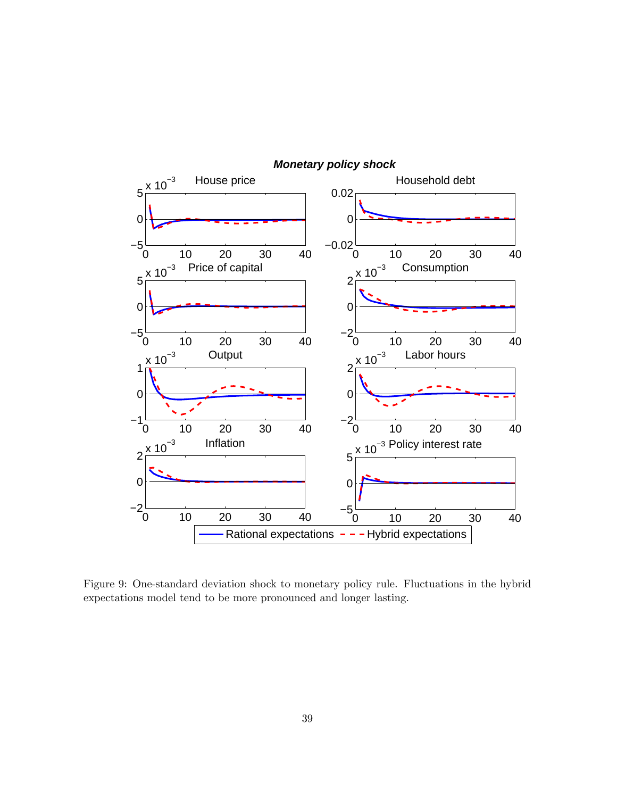

Figure 9: One-standard deviation shock to monetary policy rule. Fluctuations in the hybrid expectations model tend to be more pronounced and longer lasting.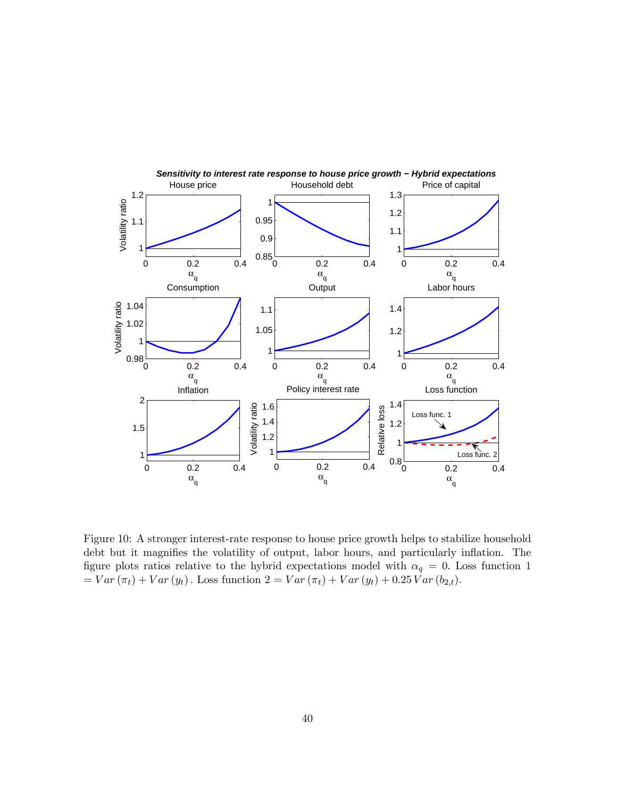

Figure 10: A stronger interest-rate response to house price growth helps to stabilize household debt but it magnifies the volatility of output, labor hours, and particularly inflation. The figure plots ratios relative to the hybrid expectations model with  $\alpha_q = 0$ . Loss function 1  $= Var(\pi_t) + Var(y_t)$ . Loss function  $2 = Var(\pi_t) + Var(y_t) + 0.25 Var(b_{2,t}).$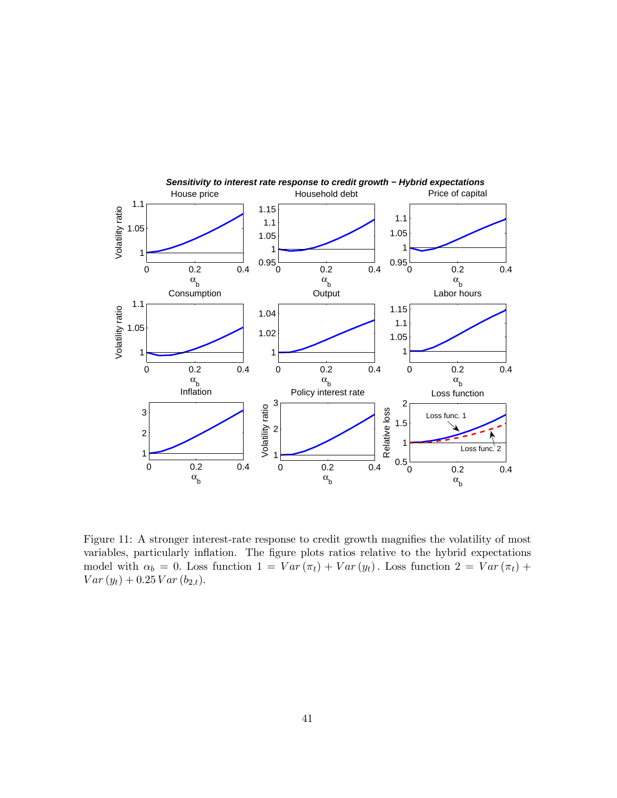

Figure 11: A stronger interest-rate response to credit growth magnifies the volatility of most variables, particularly inflation. The figure plots ratios relative to the hybrid expectations model with  $\alpha_b = 0$ . Loss function  $1 = Var(\pi_t) + Var(y_t)$ . Loss function  $2 = Var(\pi_t) +$  $Var(y_t) + 0.25 \, Var(b_{2,t}).$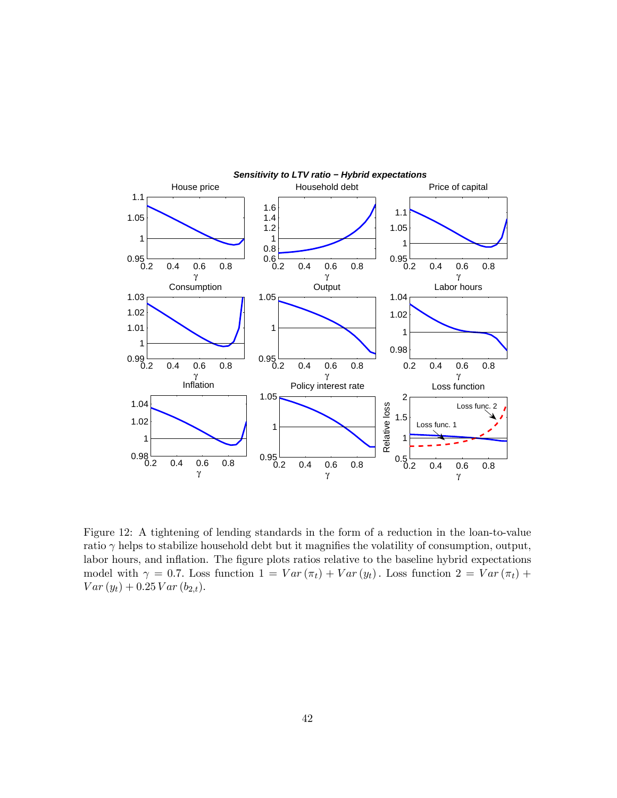

Figure 12: A tightening of lending standards in the form of a reduction in the loan-to-value ratio  $\gamma$  helps to stabilize household debt but it magnifies the volatility of consumption, output, labor hours, and inflation. The figure plots ratios relative to the baseline hybrid expectations model with  $\gamma = 0.7$ . Loss function  $1 = Var(\pi_t) + Var(y_t)$ . Loss function  $2 = Var(\pi_t) +$  $Var(y_t) + 0.25 \, Var(b_{2,t}).$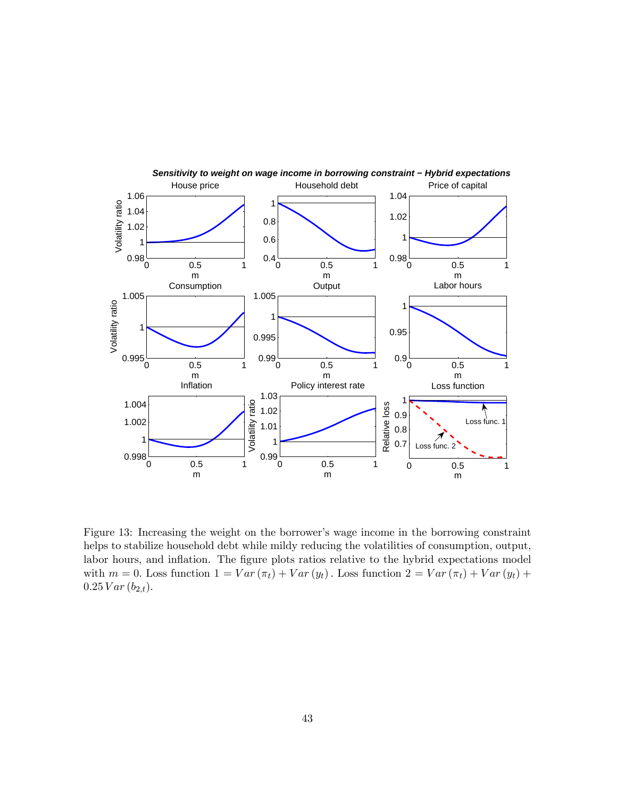

Figure 13: Increasing the weight on the borrower's wage income in the borrowing constraint helps to stabilize household debt while mildy reducing the volatilities of consumption, output, labor hours, and inflation. The figure plots ratios relative to the hybrid expectations model with  $m = 0$ . Loss function  $1 = Var(\pi_t) + Var(y_t)$ . Loss function  $2 = Var(\pi_t) + Var(y_t) +$  $0.25$   $Var(b_{2,t})$ .